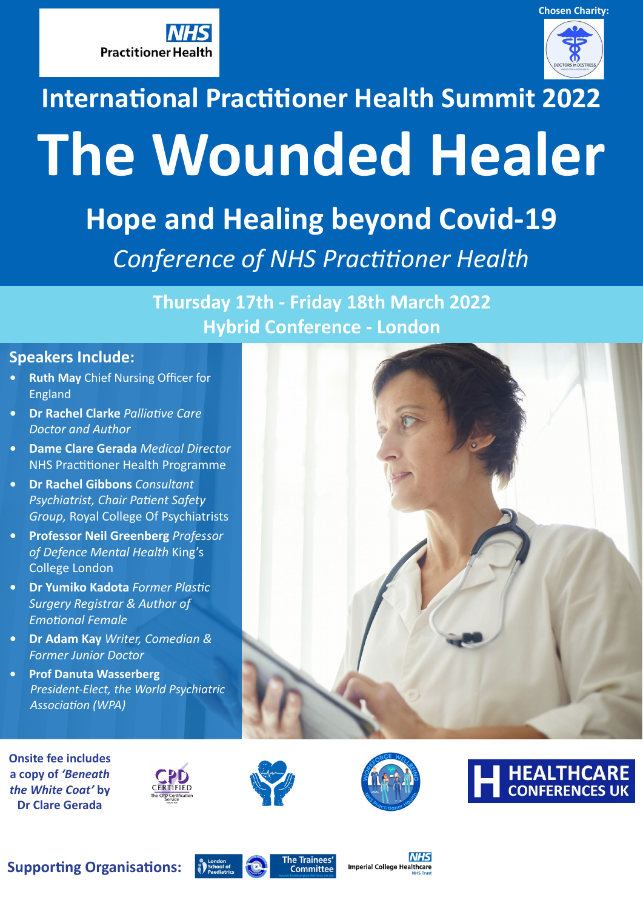



# **International Practitioner Health Summit 2022 The Wounded Healer**

**Hope and Healing beyond Covid-19** *Conference of NHS Practitioner Health*

> **Thursday 17th - Friday 18th March 2022 Hybrid Conference - London**

### **Speakers Include:**

- **• Ruth May** Chief Nursing Officer for England
- **• Dr Rachel Clarke** *Palliative Care Doctor and Author*
- **• Dame Clare Gerada** *Medical Director* NHS Practitioner Health Programme
- **• Dr Rachel Gibbons** *Consultant Psychiatrist, Chair Patient Safety Group,* Royal College Of Psychiatrists
- **• Professor Neil Greenberg** *Professor of Defence Mental Health* King's College London
- **• Dr Yumiko Kadota** *Former Plastic Surgery Registrar & Author of Emotional Female*
- **• Dr Adam Kay** *Writer, Comedian & Former Junior Doctor*
- **• Prof Danuta Wasserberg** *President-Elect, the World Psychiatric Association (WPA)*

**Onsite fee includes a copy of** *'Beneath the White Coat'* **by Dr Clare Gerada**









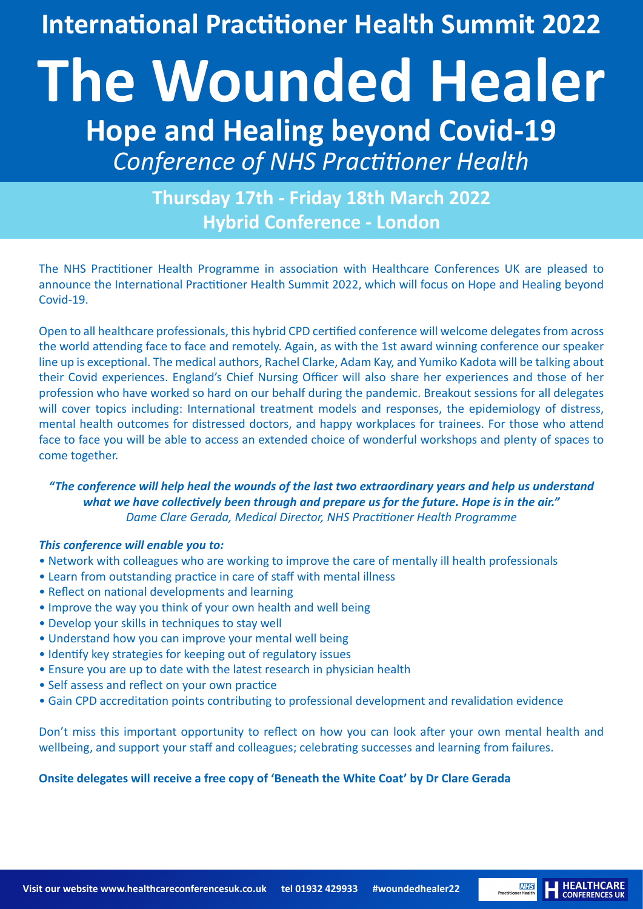**International Practitioner Health Summit 2022**

# **The Wounded Healer Hope and Healing beyond Covid-19** *Conference of NHS Practitioner Health*

**Thursday 17th - Friday 18th March 2022 Hybrid Conference - London**

The NHS Practitioner Health Programme in association with Healthcare Conferences UK are pleased to announce the International Practitioner Health Summit 2022, which will focus on Hope and Healing beyond Covid-19.

Open to all healthcare professionals, this hybrid CPD certified conference will welcome delegates from across the world attending face to face and remotely. Again, as with the 1st award winning conference our speaker line up is exceptional. The medical authors, Rachel Clarke, Adam Kay, and Yumiko Kadota will be talking about their Covid experiences. England's Chief Nursing Officer will also share her experiences and those of her profession who have worked so hard on our behalf during the pandemic. Breakout sessions for all delegates will cover topics including: International treatment models and responses, the epidemiology of distress, mental health outcomes for distressed doctors, and happy workplaces for trainees. For those who attend face to face you will be able to access an extended choice of wonderful workshops and plenty of spaces to come together.

### *"The conference will help heal the wounds of the last two extraordinary years and help us understand what we have collectively been through and prepare us for the future. Hope is in the air." Dame Clare Gerada, Medical Director, NHS Practitioner Health Programme*

### *This conference will enable you to:*

- Network with colleagues who are working to improve the care of mentally ill health professionals
- Learn from outstanding practice in care of staff with mental illness
- Reflect on national developments and learning
- Improve the way you think of your own health and well being
- Develop your skills in techniques to stay well
- Understand how you can improve your mental well being
- Identify key strategies for keeping out of regulatory issues
- Ensure you are up to date with the latest research in physician health
- Self assess and reflect on your own practice
- Gain CPD accreditation points contributing to professional development and revalidation evidence

Don't miss this important opportunity to reflect on how you can look after your own mental health and wellbeing, and support your staff and colleagues; celebrating successes and learning from failures.

**HEALTHCARE**<br>CONFERENCES UK

**NHS**<br>Practitioner Health

### **Onsite delegates will receive a free copy of 'Beneath the White Coat' by Dr Clare Gerada**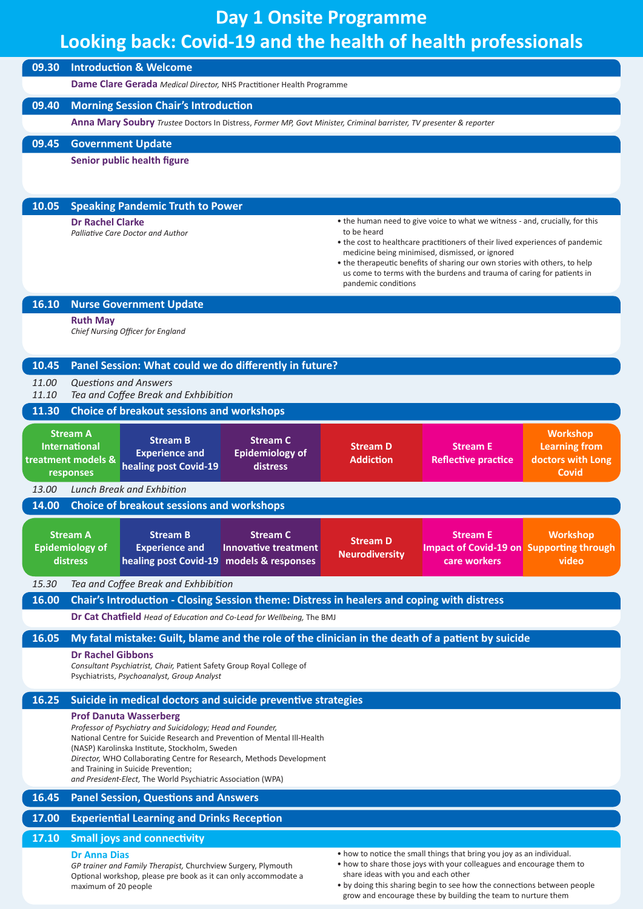# **Day 1 Onsite Programme Looking back: Covid-19 and the health of health professionals**

| 09.30                       |                                                                                                                                                               | <b>Introduction &amp; Welcome</b><br>Dame Clare Gerada Medical Director, NHS Practitioner Health Programme                       |                                    |                                          |                                                                                                                                                                                                                  |                                         |
|-----------------------------|---------------------------------------------------------------------------------------------------------------------------------------------------------------|----------------------------------------------------------------------------------------------------------------------------------|------------------------------------|------------------------------------------|------------------------------------------------------------------------------------------------------------------------------------------------------------------------------------------------------------------|-----------------------------------------|
| 09.40                       |                                                                                                                                                               | <b>Morning Session Chair's Introduction</b>                                                                                      |                                    |                                          |                                                                                                                                                                                                                  |                                         |
|                             | Anna Mary Soubry Trustee Doctors In Distress, Former MP, Govt Minister, Criminal barrister, TV presenter & reporter                                           |                                                                                                                                  |                                    |                                          |                                                                                                                                                                                                                  |                                         |
| 09.45                       | <b>Government Update</b>                                                                                                                                      |                                                                                                                                  |                                    |                                          |                                                                                                                                                                                                                  |                                         |
| Senior public health figure |                                                                                                                                                               |                                                                                                                                  |                                    |                                          |                                                                                                                                                                                                                  |                                         |
|                             |                                                                                                                                                               |                                                                                                                                  |                                    |                                          |                                                                                                                                                                                                                  |                                         |
|                             |                                                                                                                                                               |                                                                                                                                  |                                    |                                          |                                                                                                                                                                                                                  |                                         |
| 10.05                       | <b>Dr Rachel Clarke</b>                                                                                                                                       | <b>Speaking Pandemic Truth to Power</b>                                                                                          |                                    |                                          | • the human need to give voice to what we witness - and, crucially, for this                                                                                                                                     |                                         |
|                             |                                                                                                                                                               | Palliative Care Doctor and Author                                                                                                |                                    | to be heard                              | • the cost to healthcare practitioners of their lived experiences of pandemic                                                                                                                                    |                                         |
|                             |                                                                                                                                                               |                                                                                                                                  |                                    |                                          | medicine being minimised, dismissed, or ignored<br>• the therapeutic benefits of sharing our own stories with others, to help                                                                                    |                                         |
|                             |                                                                                                                                                               |                                                                                                                                  |                                    |                                          | us come to terms with the burdens and trauma of caring for patients in                                                                                                                                           |                                         |
|                             |                                                                                                                                                               |                                                                                                                                  |                                    | pandemic conditions                      |                                                                                                                                                                                                                  |                                         |
| 16.10                       | <b>Ruth May</b>                                                                                                                                               | <b>Nurse Government Update</b>                                                                                                   |                                    |                                          |                                                                                                                                                                                                                  |                                         |
|                             |                                                                                                                                                               | Chief Nursing Officer for England                                                                                                |                                    |                                          |                                                                                                                                                                                                                  |                                         |
|                             |                                                                                                                                                               |                                                                                                                                  |                                    |                                          |                                                                                                                                                                                                                  |                                         |
| 10.45                       |                                                                                                                                                               | Panel Session: What could we do differently in future?                                                                           |                                    |                                          |                                                                                                                                                                                                                  |                                         |
| <i>11.00</i><br>11.10       |                                                                                                                                                               | Questions and Answers<br>Tea and Coffee Break and Exhbibition                                                                    |                                    |                                          |                                                                                                                                                                                                                  |                                         |
| 11.30                       |                                                                                                                                                               | <b>Choice of breakout sessions and workshops</b>                                                                                 |                                    |                                          |                                                                                                                                                                                                                  |                                         |
|                             | <b>Stream A</b><br><b>International</b>                                                                                                                       | <b>Stream B</b>                                                                                                                  | <b>Stream C</b>                    | <b>Stream D</b>                          | <b>Stream E</b>                                                                                                                                                                                                  | <b>Workshop</b><br><b>Learning from</b> |
|                             | treatment models &<br>responses                                                                                                                               | <b>Experience and</b><br>healing post Covid-19                                                                                   | <b>Epidemiology of</b><br>distress | <b>Addiction</b>                         | <b>Reflective practice</b>                                                                                                                                                                                       | doctors with Long<br><b>Covid</b>       |
| 13.00                       |                                                                                                                                                               | Lunch Break and Exhbition                                                                                                        |                                    |                                          |                                                                                                                                                                                                                  |                                         |
| 14.00                       |                                                                                                                                                               | <b>Choice of breakout sessions and workshops</b>                                                                                 |                                    |                                          |                                                                                                                                                                                                                  |                                         |
|                             | <b>Stream A</b>                                                                                                                                               | <b>Stream B</b>                                                                                                                  | <b>Stream C</b>                    |                                          | <b>Stream E</b>                                                                                                                                                                                                  | <b>Example 1</b> Workshop               |
|                             | <b>Epidemiology of</b>                                                                                                                                        | <b>Experience and</b>                                                                                                            | Innovative treatment               | <b>Stream D</b><br><b>Neurodiversity</b> | <b>Impact of Covid-19 on Supporting through</b>                                                                                                                                                                  |                                         |
|                             | distress                                                                                                                                                      | healing post Covid-19 models & responses                                                                                         |                                    |                                          | care workers                                                                                                                                                                                                     | video                                   |
| 15.30                       |                                                                                                                                                               | Tea and Coffee Break and Exhbibition                                                                                             |                                    |                                          |                                                                                                                                                                                                                  |                                         |
| 16.00                       |                                                                                                                                                               | Chair's Introduction - Closing Session theme: Distress in healers and coping with distress                                       |                                    |                                          |                                                                                                                                                                                                                  |                                         |
|                             |                                                                                                                                                               | <b>Dr Cat Chatfield</b> Head of Education and Co-Lead for Wellbeing, The BMJ                                                     |                                    |                                          |                                                                                                                                                                                                                  |                                         |
| 16.05                       | My fatal mistake: Guilt, blame and the role of the clinician in the death of a patient by suicide                                                             |                                                                                                                                  |                                    |                                          |                                                                                                                                                                                                                  |                                         |
|                             | <b>Dr Rachel Gibbons</b><br>Consultant Psychiatrist, Chair, Patient Safety Group Royal College of                                                             |                                                                                                                                  |                                    |                                          |                                                                                                                                                                                                                  |                                         |
|                             | Psychiatrists, Psychoanalyst, Group Analyst                                                                                                                   |                                                                                                                                  |                                    |                                          |                                                                                                                                                                                                                  |                                         |
| 16.25                       | Suicide in medical doctors and suicide preventive strategies                                                                                                  |                                                                                                                                  |                                    |                                          |                                                                                                                                                                                                                  |                                         |
|                             |                                                                                                                                                               | <b>Prof Danuta Wasserberg</b><br>Professor of Psychiatry and Suicidology; Head and Founder,                                      |                                    |                                          |                                                                                                                                                                                                                  |                                         |
|                             | National Centre for Suicide Research and Prevention of Mental III-Health                                                                                      |                                                                                                                                  |                                    |                                          |                                                                                                                                                                                                                  |                                         |
|                             | (NASP) Karolinska Institute, Stockholm, Sweden<br>Director, WHO Collaborating Centre for Research, Methods Development<br>and Training in Suicide Prevention; |                                                                                                                                  |                                    |                                          |                                                                                                                                                                                                                  |                                         |
|                             |                                                                                                                                                               | and President-Elect, The World Psychiatric Association (WPA)                                                                     |                                    |                                          |                                                                                                                                                                                                                  |                                         |
| 16.45                       |                                                                                                                                                               | <b>Panel Session, Questions and Answers</b>                                                                                      |                                    |                                          |                                                                                                                                                                                                                  |                                         |
| 17.00                       |                                                                                                                                                               | <b>Experiential Learning and Drinks Reception</b>                                                                                |                                    |                                          |                                                                                                                                                                                                                  |                                         |
| 17.10                       |                                                                                                                                                               | <b>Small joys and connectivity</b>                                                                                               |                                    |                                          |                                                                                                                                                                                                                  |                                         |
|                             | Dr Anna Dias                                                                                                                                                  |                                                                                                                                  |                                    |                                          | • how to notice the small things that bring you joy as an individual.                                                                                                                                            |                                         |
|                             | maximum of 20 people                                                                                                                                          | GP trainer and Family Therapist, Churchview Surgery, Plymouth<br>Optional workshop, please pre book as it can only accommodate a |                                    | share ideas with you and each other      | • how to share those joys with your colleagues and encourage them to<br>. by doing this sharing begin to see how the connections between people<br>grow and encourage these by building the team to nurture them |                                         |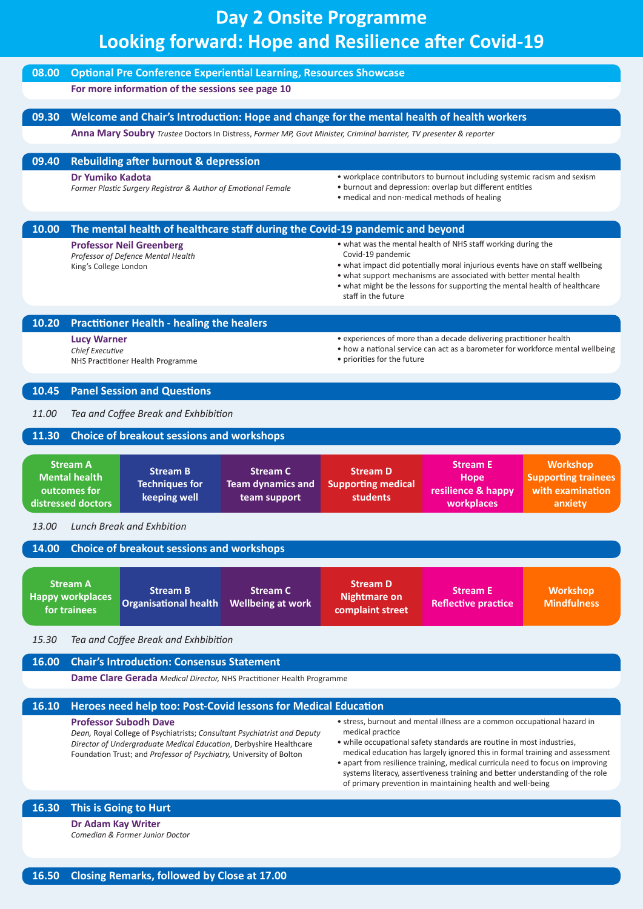# **Day 2 Onsite Programme Looking forward: Hope and Resilience after Covid-19**

| 08.00 |                                                                                                                     | <b>Optional Pre Conference Experiential Learning, Resources Showcase</b><br>For more information of the sessions see page 10                                                                                                                          |                                                                                                                                                                                      |                                                            |                                                                                                                                                                                                                                                                                                                                                                                                                                                                    |                                                                              |
|-------|---------------------------------------------------------------------------------------------------------------------|-------------------------------------------------------------------------------------------------------------------------------------------------------------------------------------------------------------------------------------------------------|--------------------------------------------------------------------------------------------------------------------------------------------------------------------------------------|------------------------------------------------------------|--------------------------------------------------------------------------------------------------------------------------------------------------------------------------------------------------------------------------------------------------------------------------------------------------------------------------------------------------------------------------------------------------------------------------------------------------------------------|------------------------------------------------------------------------------|
|       |                                                                                                                     |                                                                                                                                                                                                                                                       |                                                                                                                                                                                      |                                                            |                                                                                                                                                                                                                                                                                                                                                                                                                                                                    |                                                                              |
| 09.30 |                                                                                                                     | Welcome and Chair's Introduction: Hope and change for the mental health of health workers                                                                                                                                                             |                                                                                                                                                                                      |                                                            |                                                                                                                                                                                                                                                                                                                                                                                                                                                                    |                                                                              |
|       | Anna Mary Soubry Trustee Doctors In Distress, Former MP, Govt Minister, Criminal barrister, TV presenter & reporter |                                                                                                                                                                                                                                                       |                                                                                                                                                                                      |                                                            |                                                                                                                                                                                                                                                                                                                                                                                                                                                                    |                                                                              |
| 09.40 |                                                                                                                     | <b>Rebuilding after burnout &amp; depression</b>                                                                                                                                                                                                      |                                                                                                                                                                                      |                                                            |                                                                                                                                                                                                                                                                                                                                                                                                                                                                    |                                                                              |
|       | Dr Yumiko Kadota<br>Former Plastic Surgery Registrar & Author of Emotional Female                                   |                                                                                                                                                                                                                                                       | • workplace contributors to burnout including systemic racism and sexism<br>• burnout and depression: overlap but different entities<br>• medical and non-medical methods of healing |                                                            |                                                                                                                                                                                                                                                                                                                                                                                                                                                                    |                                                                              |
| 10.00 |                                                                                                                     | The mental health of healthcare staff during the Covid-19 pandemic and beyond                                                                                                                                                                         |                                                                                                                                                                                      |                                                            |                                                                                                                                                                                                                                                                                                                                                                                                                                                                    |                                                                              |
|       | King's College London                                                                                               | <b>Professor Neil Greenberg</b><br>Professor of Defence Mental Health                                                                                                                                                                                 |                                                                                                                                                                                      | Covid-19 pandemic<br>staff in the future                   | • what was the mental health of NHS staff working during the<br>. what impact did potentially moral injurious events have on staff wellbeing<br>• what support mechanisms are associated with better mental health<br>• what might be the lessons for supporting the mental health of healthcare                                                                                                                                                                   |                                                                              |
| 10.20 |                                                                                                                     | <b>Practitioner Health - healing the healers</b>                                                                                                                                                                                                      |                                                                                                                                                                                      |                                                            |                                                                                                                                                                                                                                                                                                                                                                                                                                                                    |                                                                              |
|       | <b>Lucy Warner</b><br>Chief Executive                                                                               | NHS Practitioner Health Programme                                                                                                                                                                                                                     |                                                                                                                                                                                      | • priorities for the future                                | • experiences of more than a decade delivering practitioner health<br>• how a national service can act as a barometer for workforce mental wellbeing                                                                                                                                                                                                                                                                                                               |                                                                              |
| 10.45 |                                                                                                                     | <b>Panel Session and Questions</b>                                                                                                                                                                                                                    |                                                                                                                                                                                      |                                                            |                                                                                                                                                                                                                                                                                                                                                                                                                                                                    |                                                                              |
| 11.00 |                                                                                                                     | Tea and Coffee Break and Exhbibition                                                                                                                                                                                                                  |                                                                                                                                                                                      |                                                            |                                                                                                                                                                                                                                                                                                                                                                                                                                                                    |                                                                              |
| 11.30 |                                                                                                                     | <b>Choice of breakout sessions and workshops</b>                                                                                                                                                                                                      |                                                                                                                                                                                      |                                                            |                                                                                                                                                                                                                                                                                                                                                                                                                                                                    |                                                                              |
|       | <b>Stream A</b><br><b>Mental health</b><br>outcomes for<br>distressed doctors                                       | <b>Stream B</b><br><b>Techniques for</b><br>keeping well                                                                                                                                                                                              | <b>Stream C</b><br><b>Team dynamics and</b><br>team support                                                                                                                          | <b>Stream D</b><br><b>Supporting medical</b><br>students   | <b>Stream E</b><br>Hope<br>resilience & happy<br>workplaces                                                                                                                                                                                                                                                                                                                                                                                                        | <b>Workshop</b><br><b>Supporting trainees</b><br>with examination<br>anxiety |
| 13.00 |                                                                                                                     | Lunch Break and Exhbition                                                                                                                                                                                                                             |                                                                                                                                                                                      |                                                            |                                                                                                                                                                                                                                                                                                                                                                                                                                                                    |                                                                              |
| 14.00 |                                                                                                                     | <b>Choice of breakout sessions and workshops</b>                                                                                                                                                                                                      |                                                                                                                                                                                      |                                                            |                                                                                                                                                                                                                                                                                                                                                                                                                                                                    |                                                                              |
|       | <b>Stream A</b><br><b>Happy workplaces</b><br>for trainees                                                          | <b>Stream B</b><br><b>Organisational health</b>                                                                                                                                                                                                       | <b>Stream C</b><br><b>Wellbeing at work</b>                                                                                                                                          | <b>Stream D</b><br><b>Nightmare on</b><br>complaint street | <b>Stream E</b><br><b>Reflective practice</b>                                                                                                                                                                                                                                                                                                                                                                                                                      | <b>Workshop</b><br><b>Mindfulness</b>                                        |
| 15.30 |                                                                                                                     | Tea and Coffee Break and Exhbibition                                                                                                                                                                                                                  |                                                                                                                                                                                      |                                                            |                                                                                                                                                                                                                                                                                                                                                                                                                                                                    |                                                                              |
| 16.00 |                                                                                                                     | <b>Chair's Introduction: Consensus Statement</b><br><b>Dame Clare Gerada</b> Medical Director, NHS Practitioner Health Programme                                                                                                                      |                                                                                                                                                                                      |                                                            |                                                                                                                                                                                                                                                                                                                                                                                                                                                                    |                                                                              |
| 16.10 |                                                                                                                     | Heroes need help too: Post-Covid lessons for Medical Education                                                                                                                                                                                        |                                                                                                                                                                                      |                                                            |                                                                                                                                                                                                                                                                                                                                                                                                                                                                    |                                                                              |
|       |                                                                                                                     | <b>Professor Subodh Dave</b><br>Dean, Royal College of Psychiatrists; Consultant Psychiatrist and Deputy<br>Director of Undergraduate Medical Education, Derbyshire Healthcare<br>Foundation Trust; and Professor of Psychiatry, University of Bolton |                                                                                                                                                                                      | medical practice                                           | • stress, burnout and mental illness are a common occupational hazard in<br>• while occupational safety standards are routine in most industries,<br>medical education has largely ignored this in formal training and assessment<br>• apart from resilience training, medical curricula need to focus on improving<br>systems literacy, assertiveness training and better understanding of the role<br>of primary prevention in maintaining health and well-being |                                                                              |
| 16.30 |                                                                                                                     | This is Going to Hurt                                                                                                                                                                                                                                 |                                                                                                                                                                                      |                                                            |                                                                                                                                                                                                                                                                                                                                                                                                                                                                    |                                                                              |

**Dr Adam Kay Writer**

*Comedian & Former Junior Doctor*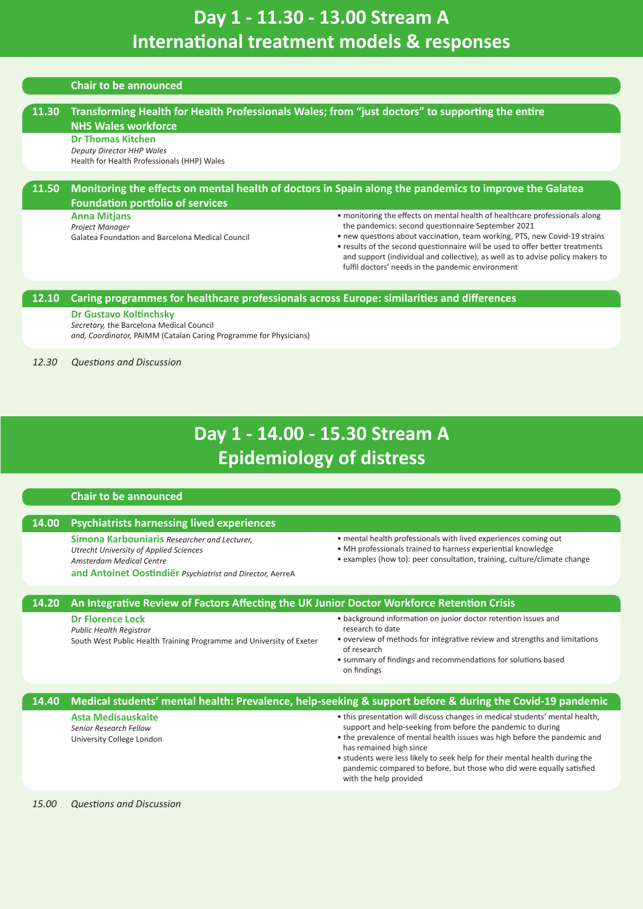# <span id="page-4-0"></span>**Day 1 - 11.30 - 13.00 Stream A International treatment models & responses**

### **Chair to be announced**

| 11.30 | Transforming Health for Health Professionals Wales; from "just doctors" to supporting the entire<br><b>NHS Wales workforce</b> |                                                                                                                                                                                                                                                                                                                                                                                                                                         |
|-------|--------------------------------------------------------------------------------------------------------------------------------|-----------------------------------------------------------------------------------------------------------------------------------------------------------------------------------------------------------------------------------------------------------------------------------------------------------------------------------------------------------------------------------------------------------------------------------------|
|       | <b>Dr Thomas Kitchen</b><br><b>Deputy Director HHP Wales</b><br>Health for Health Professionals (HHP) Wales                    |                                                                                                                                                                                                                                                                                                                                                                                                                                         |
| 11.50 | <b>Foundation portfolio of services</b>                                                                                        | Monitoring the effects on mental health of doctors in Spain along the pandemics to improve the Galatea                                                                                                                                                                                                                                                                                                                                  |
|       | <b>Anna Mitjans</b><br>Project Manager<br>Galatea Foundation and Barcelona Medical Council                                     | • monitoring the effects on mental health of healthcare professionals along<br>the pandemics: second questionnaire September 2021<br>• new questions about vaccination, team working, PTS, new Covid-19 strains<br>• results of the second questionnaire will be used to offer better treatments<br>and support (individual and collective), as well as to advise policy makers to<br>fulfil doctors' needs in the pandemic environment |
| 12.10 | Caring programmes for healthcare professionals across Europe: similarities and differences                                     |                                                                                                                                                                                                                                                                                                                                                                                                                                         |
|       | <b>Dr Gustavo Koltinchsky</b>                                                                                                  |                                                                                                                                                                                                                                                                                                                                                                                                                                         |
|       | Secretary, the Barcelona Medical Council<br>and, Coordinator, PAIMM (Catalan Caring Programme for Physicians)                  |                                                                                                                                                                                                                                                                                                                                                                                                                                         |

*12.30 Questions and Discussion*

# **Day 1 - 14.00 - 15.30 Stream A Epidemiology of distress**

### **Chair to be announced**

### **14.00 Psychiatrists harnessing lived experiences**

**Simona Karbouniaris** *Researcher and Lecturer, Utrecht University of Applied Sciences Amsterdam Medical Centre*  **and Antoinet Oostindiër** *Psychiatrist and Director,* AerreA

- <span id="page-4-1"></span>• mental health professionals with lived experiences coming out
- MH professionals trained to harness experiential knowledge
- examples (how to): peer consultation, training, culture/climate change

### **14.20 An Integrative Review of Factors Affecting the UK Junior Doctor Workforce Retention Crisis**

### **Dr Florence Lock**

*Public Health Registrar*

South West Public Health Training Programme and University of Exeter

- background information on junior doctor retention issues and research to date
- overview of methods for integrative review and strengths and limitations of research
- summary of findings and recommendations for solutions based on findings

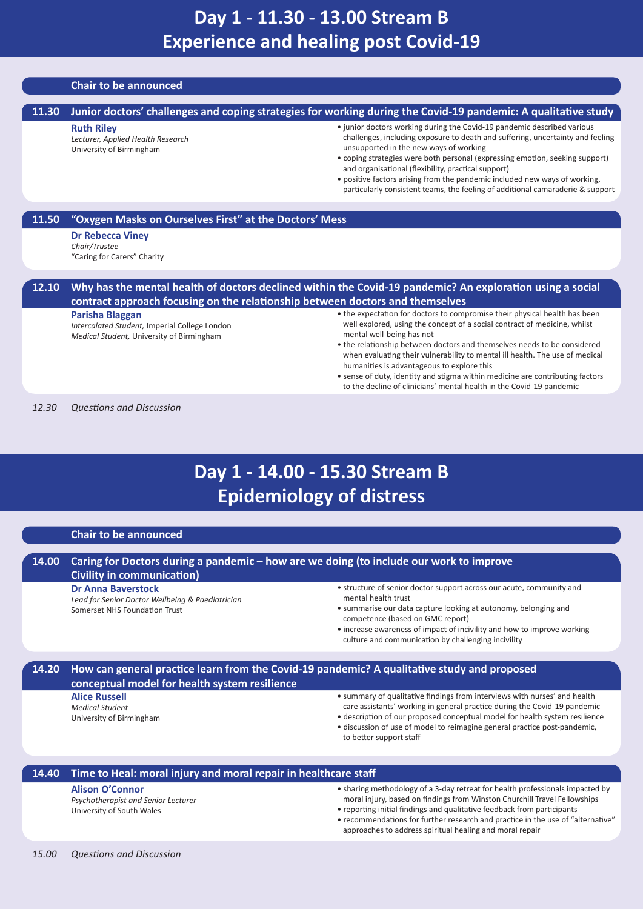### **Chair to be announced**

#### **11.30 Junior doctors' challenges and coping strategies for working during the Covid-19 pandemic: A qualitative study Ruth Riley** *Lecturer, Applied Health Research* University of Birmingham • junior doctors working during the Covid-19 pandemic described various challenges, including exposure to death and suffering, uncertainty and feeling unsupported in the new ways of working • coping strategies were both personal (expressing emotion, seeking support) and organisational (flexibility, practical support) • positive factors arising from the pandemic included new ways of working, particularly consistent teams, the feeling of additional camaraderie & support

### **11.50 "Oxygen Masks on Ourselves First" at the Doctors' Mess**

**Dr Rebecca Viney** *Chair/Trustee* "Caring for Carers" Charity

### **12.10 Why has the mental health of doctors declined within the Covid-19 pandemic? An exploration using a social contract approach focusing on the relationship between doctors and themselves**

#### **Parisha Blaggan**

*Intercalated Student,* Imperial College London *Medical Student,* University of Birmingham

- <span id="page-5-0"></span>• the expectation for doctors to compromise their physical health has been well explored, using the concept of a social contract of medicine, whilst mental well-being has not
- the relationship between doctors and themselves needs to be considered when evaluating their vulnerability to mental ill health. The use of medical humanities is advantageous to explore this
- <span id="page-5-1"></span>• sense of duty, identity and stigma within medicine are contributing factors to the decline of clinicians' mental health in the Covid-19 pandemic

*12.30 Questions and Discussion*

# **Day 1 - 14.00 - 15.30 Stream B Epidemiology of distress**

### **Chair to be announced**

### **14.00 Caring for Doctors during a pandemic – how are we doing (to include our work to improve Civility in communication)**

**Dr Anna Baverstock**

*Lead for Senior Doctor Wellbeing & Paediatrician* Somerset NHS Foundation Trust

- structure of senior doctor support across our acute, community and mental health trust
- summarise our data capture looking at autonomy, belonging and competence (based on GMC report)
- increase awareness of impact of incivility and how to improve working culture and communication by challenging incivility

### **14.20 How can general practice learn from the Covid-19 pandemic? A qualitative study and proposed conceptual model for health system resilience**

#### **Alice Russell** *Medical Student*

University of Birmingham

- summary of qualitative findings from interviews with nurses' and health care assistants' working in general practice during the Covid-19 pandemic
- description of our proposed conceptual model for health system resilience • discussion of use of model to reimagine general practice post-pandemic, to better support staff

### **14.40 Time to Heal: moral injury and moral repair in healthcare staff Alison O'Connor**

*Psychotherapist and Senior Lecturer* University of South Wales

- sharing methodology of a 3-day retreat for health professionals impacted by moral injury, based on findings from Winston Churchill Travel Fellowships • reporting initial findings and qualitative feedback from participants
- recommendations for further research and practice in the use of "alternative" approaches to address spiritual healing and moral repair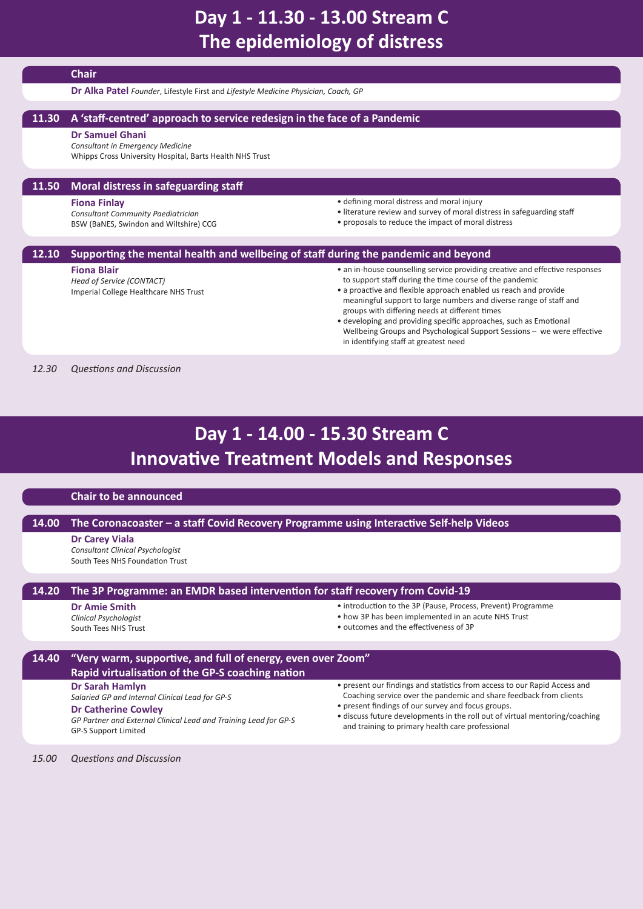# <span id="page-6-0"></span>**Day 1 - 11.30 - 13.00 Stream C The epidemiology of distress**

### **Chair**

**Dr Alka Patel** *Founder*, Lifestyle First and *Lifestyle Medicine Physician, Coach, GP*

### **11.30 A 'staff-centred' approach to service redesign in the face of a Pandemic**

### **Dr Samuel Ghani**

*Consultant in Emergency Medicine* Whipps Cross University Hospital, Barts Health NHS Trust

### **11.50 Moral distress in safeguarding staff**

#### **Fiona Finlay**

*Consultant Community Paediatrician* BSW (BaNES, Swindon and Wiltshire) CCG

- defining moral distress and moral injury
- literature review and survey of moral distress in safeguarding staff
- proposals to reduce the impact of moral distress

### **12.10 Supporting the mental health and wellbeing of staff during the pandemic and beyond**

### **Fiona Blair**

*Head of Service (CONTACT)* Imperial College Healthcare NHS Trust

- an in-house counselling service providing creative and effective responses to support staff during the time course of the pandemic
- a proactive and flexible approach enabled us reach and provide meaningful support to large numbers and diverse range of staff and groups with differing needs at different times
- <span id="page-6-1"></span>• developing and providing specific approaches, such as Emotional Wellbeing Groups and Psychological Support Sessions – we were effective in identifying staff at greatest need

*12.30 Questions and Discussion*

# **Day 1 - 14.00 - 15.30 Stream C Innovative Treatment Models and Responses**

### **Chair to be announced**

### **14.00 The Coronacoaster – a staff Covid Recovery Programme using Interactive Self-help Videos**

### **Dr Carey Viala**

*Consultant Clinical Psychologist* South Tees NHS Foundation Trust

### **14.20 The 3P Programme: an EMDR based intervention for staff recovery from Covid-19**

### **Dr Amie Smith**

*Clinical Psychologist* South Tees NHS Trust

- introduction to the 3P (Pause, Process, Prevent) Programme
- how 3P has been implemented in an acute NHS Trust
- outcomes and the effectiveness of 3P

### **14.40 "Very warm, supportive, and full of energy, even over Zoom" Rapid virtualisation of the GP-S coaching nation**

### **Dr Sarah Hamlyn**

*Salaried GP and Internal Clinical Lead for GP-S*

**Dr Catherine Cowley**

*GP Partner and External Clinical Lead and Training Lead for GP-S* GP-S Support Limited

- present our findings and statistics from access to our Rapid Access and Coaching service over the pandemic and share feedback from clients
- present findings of our survey and focus groups.
- discuss future developments in the roll out of virtual mentoring/coaching and training to primary health care professional

*15.00 Questions and Discussion*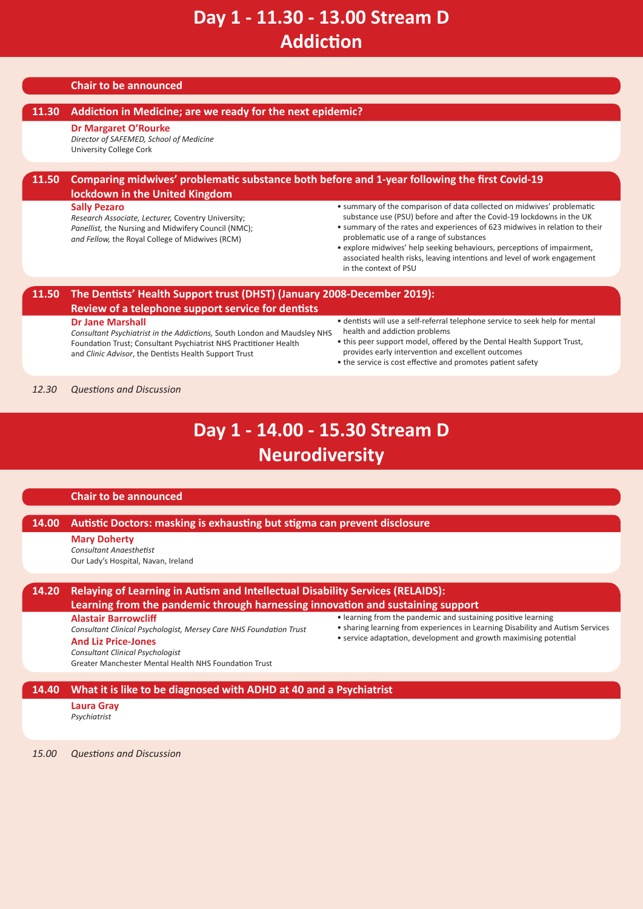# <span id="page-7-0"></span>**Day 1 - 11.30 - 13.00 Stream D Addiction**

### **Chair to be announced**

### **11.30 Addiction in Medicine; are we ready for the next epidemic?**

### **Dr Margaret O'Rourke**

*Director of SAFEMED, School of Medicine* University College Cork

### **11.50 Comparing midwives' problematic substance both before and 1-year following the first Covid-19 lockdown in the United Kingdom**

### **Sally Pezaro**

*Research Associate, Lecturer,* Coventry University; *Panellist,* the Nursing and Midwifery Council (NMC); *and Fellow,* the Royal College of Midwives (RCM)

- summary of the comparison of data collected on midwives' problematic substance use (PSU) before and after the Covid-19 lockdowns in the UK
- summary of the rates and experiences of 623 midwives in relation to their problematic use of a range of substances
- explore midwives' help seeking behaviours, perceptions of impairment, associated health risks, leaving intentions and level of work engagement in the context of PSU

### **11.50 The Dentists' Health Support trust (DHST) (January 2008-December 2019): Review of a telephone support service for dentists**

#### **Dr Jane Marshall**

*Consultant Psychiatrist in the Addictions,* South London and Maudsley NHS Foundation Trust; Consultant Psychiatrist NHS Practitioner Health and *Clinic Advisor*, the Dentists Health Support Trust

- dentists will use a self-referral telephone service to seek help for mental health and addiction problems
- this peer support model, offered by the Dental Health Support Trust, provides early intervention and excellent outcomes
- <span id="page-7-1"></span>• the service is cost effective and promotes patient safety

### *12.30 Questions and Discussion*

# **Day 1 - 14.00 - 15.30 Stream D Neurodiversity**

### **Chair to be announced**

### **14.00 Autistic Doctors: masking is exhausting but stigma can prevent disclosure**

### **Mary Doherty**

*Consultant Anaesthetist* Our Lady's Hospital, Navan, Ireland

| 14.20 | Relaying of Learning in Autism and Intellectual Disability Services (RELAIDS):<br>Learning from the pandemic through harnessing innovation and sustaining support                                                                   |                                                                                                                                                                                                                      |  |
|-------|-------------------------------------------------------------------------------------------------------------------------------------------------------------------------------------------------------------------------------------|----------------------------------------------------------------------------------------------------------------------------------------------------------------------------------------------------------------------|--|
|       | <b>Alastair Barrowcliff</b><br>Consultant Clinical Psychologist, Mersey Care NHS Foundation Trust<br><b>And Liz Price-Jones</b><br><b>Consultant Clinical Psychologist</b><br>Greater Manchester Mental Health NHS Foundation Trust | • learning from the pandemic and sustaining positive learning<br>• sharing learning from experiences in Learning Disability and Autism Services<br>• service adaptation, development and growth maximising potential |  |

### **14.40 What it is like to be diagnosed with ADHD at 40 and a Psychiatrist**

**Laura Gray** *Psychiatrist*

*15.00 Questions and Discussion*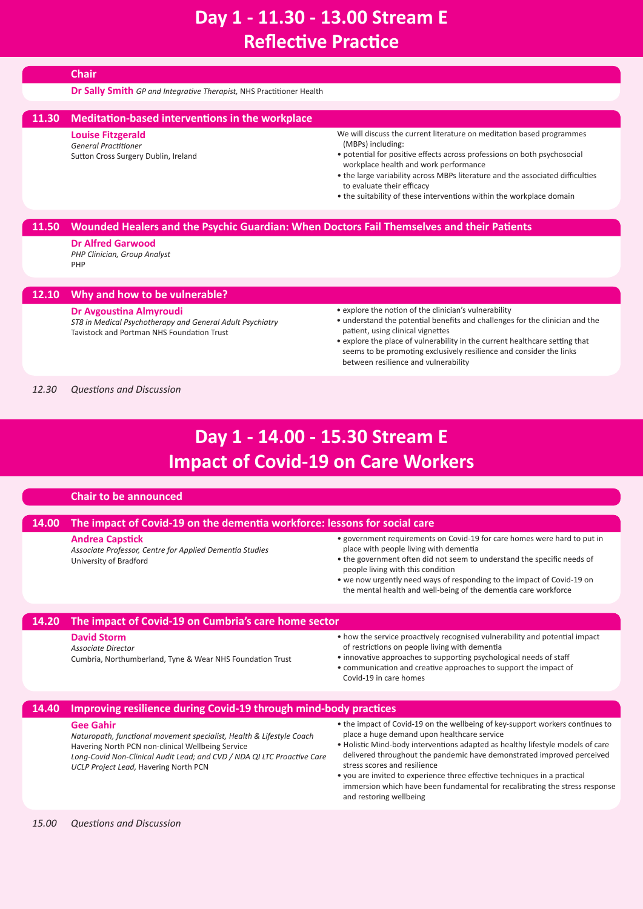# <span id="page-8-0"></span>**Day 1 - 11.30 - 13.00 Stream E Reflective Practice**

|       | <b>Chair</b>                                                                                                                                                 |                                                                                                                                                                                                                                                                                                                                                                                                         |
|-------|--------------------------------------------------------------------------------------------------------------------------------------------------------------|---------------------------------------------------------------------------------------------------------------------------------------------------------------------------------------------------------------------------------------------------------------------------------------------------------------------------------------------------------------------------------------------------------|
|       | <b>Dr Sally Smith</b> GP and Integrative Therapist, NHS Practitioner Health                                                                                  |                                                                                                                                                                                                                                                                                                                                                                                                         |
| 11.30 | Meditation-based interventions in the workplace                                                                                                              |                                                                                                                                                                                                                                                                                                                                                                                                         |
|       | <b>Louise Fitzgerald</b><br><b>General Practitioner</b><br>Sutton Cross Surgery Dublin, Ireland                                                              | We will discuss the current literature on meditation based programmes<br>(MBPs) including:<br>• potential for positive effects across professions on both psychosocial<br>workplace health and work performance<br>• the large variability across MBPs literature and the associated difficulties<br>to evaluate their efficacy<br>• the suitability of these interventions within the workplace domain |
| 11.50 | Wounded Healers and the Psychic Guardian: When Doctors Fail Themselves and their Patients<br><b>Dr Alfred Garwood</b><br>PHP Clinician, Group Analyst<br>PHP |                                                                                                                                                                                                                                                                                                                                                                                                         |
| 12.10 | Why and how to be vulnerable?                                                                                                                                |                                                                                                                                                                                                                                                                                                                                                                                                         |
|       | Dr Avgoustina Almyroudi<br>ST8 in Medical Psychotherapy and General Adult Psychiatry<br>Tavistock and Portman NHS Foundation Trust                           | • explore the notion of the clinician's vulnerability<br>• understand the potential benefits and challenges for the clinician and the<br>patient, using clinical vignettes<br>• explore the place of vulnerability in the current healthcare setting that<br>seems to be promoting exclusively resilience and consider the links<br>between resilience and vulnerability                                |
| 12.30 | <b>Questions and Discussion</b>                                                                                                                              |                                                                                                                                                                                                                                                                                                                                                                                                         |

# **Day 1 - 14.00 - 15.30 Stream E Impact of Covid-19 on Care Workers**

### **Chair to be announced**

### **14.00 The impact of Covid-19 on the dementia workforce: lessons for social care**

**Andrea Capstick**

*Associate Professor, Centre for Applied Dementia Studies*  University of Bradford

- <span id="page-8-1"></span>• government requirements on Covid-19 for care homes were hard to put in place with people living with dementia
- the government often did not seem to understand the specific needs of people living with this condition
- we now urgently need ways of responding to the impact of Covid-19 on the mental health and well-being of the dementia care workforce

### **14.20 The impact of Covid-19 on Cumbria's care home sector**

### **David Storm**

*Associate Director*

Cumbria, Northumberland, Tyne & Wear NHS Foundation Trust

- how the service proactively recognised vulnerability and potential impact of restrictions on people living with dementia
- innovative approaches to supporting psychological needs of staff
- communication and creative approaches to support the impact of Covid-19 in care homes

### **14.40 Improving resilience during Covid-19 through mind-body practices**

### **Gee Gahir**

*Naturopath, functional movement specialist, Health & Lifestyle Coach* Havering North PCN non-clinical Wellbeing Service *Long-Covid Non-Clinical Audit Lead; and CVD / NDA QI LTC Proactive Care UCLP Project Lead,* Havering North PCN

- the impact of Covid-19 on the wellbeing of key-support workers continues to place a huge demand upon healthcare service • Holistic Mind-body interventions adapted as healthy lifestyle models of care
- delivered throughout the pandemic have demonstrated improved perceived stress scores and resilience
- you are invited to experience three effective techniques in a practical immersion which have been fundamental for recalibrating the stress response and restoring wellbeing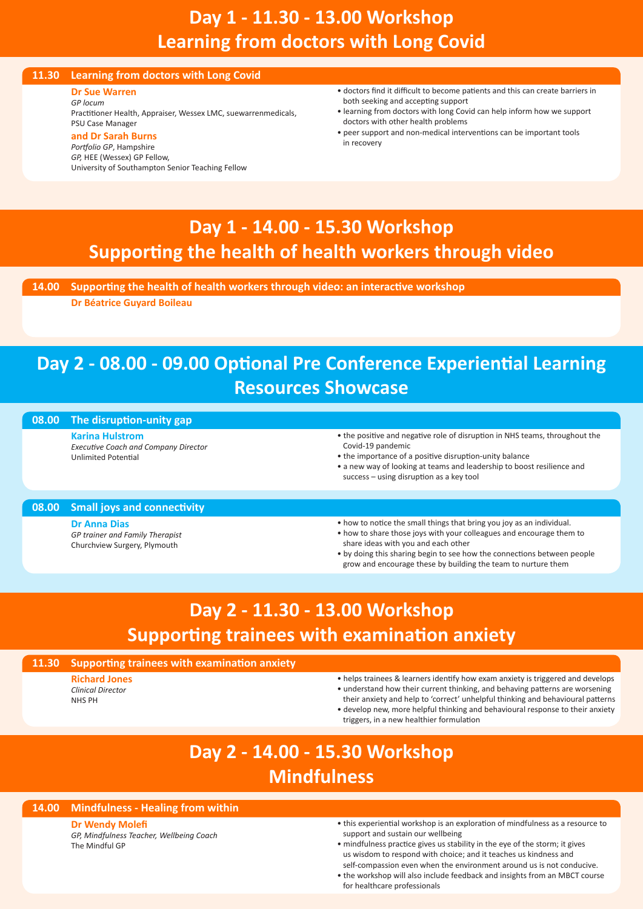# **Day 1 - 11.30 - 13.00 Workshop Learning from doctors with Long Covid**

### **11.30 Learning from doctors with Long Covid**

**Dr Sue Warren** *GP locum*

Practitioner Health, Appraiser, Wessex LMC, suewarrenmedicals, PSU Case Manager **and Dr Sarah Burns**

### *Portfolio GP*, Hampshire

*GP,* HEE (Wessex) GP Fellow, University of Southampton Senior Teaching Fellow

- <span id="page-9-0"></span>• doctors find it difficult to become patients and this can create barriers in both seeking and accepting support
- learning from doctors with long Covid can help inform how we support doctors with other health problems
- <span id="page-9-1"></span>• peer support and non-medical interventions can be important tools in recovery

# **Day 1 - 14.00 - 15.30 Workshop Supporting the health of health workers through video**

**14.00 Supporting the health of health workers through video: an interactive workshop**

**Dr Béatrice Guyard Boileau**

# <span id="page-9-4"></span>**Day 2 - 08.00 - 09.00 Optional Pre Conference Experiential Learning Resources Showcase**

### **08.00 The disruption-unity gap**

**Karina Hulstrom** *Executive Coach and Company Director* Unlimited Potential

- the positive and negative role of disruption in NHS teams, throughout the Covid-19 pandemic
- the importance of a positive disruption-unity balance
- a new way of looking at teams and leadership to boost resilience and success – using disruption as a key tool

### **08.00 Small joys and connectivity**

**Dr Anna Dias** *GP trainer and Family Therapist* Churchview Surgery, Plymouth

- how to notice the small things that bring you joy as an individual.
- how to share those joys with your colleagues and encourage them to share ideas with you and each other
- <span id="page-9-2"></span>• by doing this sharing begin to see how the connections between people grow and encourage these by building the team to nurture them

# **Day 2 - 11.30 - 13.00 Workshop Supporting trainees with examination anxiety**

### **11.30 Supporting trainees with examination anxiety**

**Richard Jones** *Clinical Director* NHS PH

- helps trainees & learners identify how exam anxiety is triggered and develops • understand how their current thinking, and behaving patterns are worsening
- <span id="page-9-3"></span> their anxiety and help to 'correct' unhelpful thinking and behavioural patterns • develop new, more helpful thinking and behavioural response to their anxiety triggers, in a new healthier formulation

# **Day 2 - 14.00 - 15.30 Workshop Mindfulness**

### **14.00 Mindfulness - Healing from within**

**Dr Wendy Molefi**

*GP, Mindfulness Teacher, Wellbeing Coach* The Mindful GP

- this experiential workshop is an exploration of mindfulness as a resource to support and sustain our wellbeing
- mindfulness practice gives us stability in the eye of the storm; it gives us wisdom to respond with choice; and it teaches us kindness and self-compassion even when the environment around us is not conducive.
- the workshop will also include feedback and insights from an MBCT course for healthcare professionals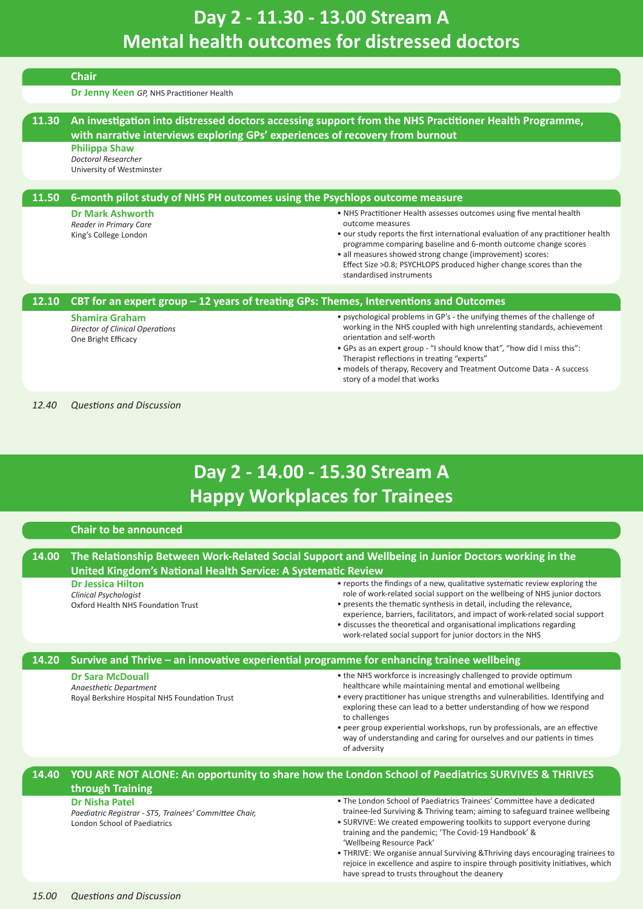# <span id="page-10-1"></span><span id="page-10-0"></span>**Day 2 - 11.30 - 13.00 Stream A Mental health outcomes for distressed doctors**

|       | <b>Chair</b>                                                                                  |                                                                                                                                                            |  |  |
|-------|-----------------------------------------------------------------------------------------------|------------------------------------------------------------------------------------------------------------------------------------------------------------|--|--|
|       | Dr Jenny Keen GP, NHS Practitioner Health                                                     |                                                                                                                                                            |  |  |
|       |                                                                                               |                                                                                                                                                            |  |  |
| 11.30 |                                                                                               | An investigation into distressed doctors accessing support from the NHS Practitioner Health Programme,                                                     |  |  |
|       | with narrative interviews exploring GPs' experiences of recovery from burnout                 |                                                                                                                                                            |  |  |
|       | <b>Philippa Shaw</b><br><b>Doctoral Researcher</b>                                            |                                                                                                                                                            |  |  |
|       | University of Westminster                                                                     |                                                                                                                                                            |  |  |
|       |                                                                                               |                                                                                                                                                            |  |  |
| 11.50 | 6-month pilot study of NHS PH outcomes using the Psychlops outcome measure                    |                                                                                                                                                            |  |  |
|       | <b>Dr Mark Ashworth</b>                                                                       | • NHS Practitioner Health assesses outcomes using five mental health                                                                                       |  |  |
|       | Reader in Primary Care<br>King's College London                                               | outcome measures<br>• our study reports the first international evaluation of any practitioner health                                                      |  |  |
|       |                                                                                               | programme comparing baseline and 6-month outcome change scores                                                                                             |  |  |
|       |                                                                                               | • all measures showed strong change (improvement) scores:<br>Effect Size >0.8; PSYCHLOPS produced higher change scores than the                            |  |  |
|       |                                                                                               | standardised instruments                                                                                                                                   |  |  |
|       |                                                                                               |                                                                                                                                                            |  |  |
| 12.10 | CBT for an expert group $-12$ years of treating GPs: Themes, Interventions and Outcomes       |                                                                                                                                                            |  |  |
|       | <b>Shamira Graham</b>                                                                         | • psychological problems in GP's - the unifying themes of the challenge of                                                                                 |  |  |
|       | <b>Director of Clinical Operations</b><br>One Bright Efficacy                                 | working in the NHS coupled with high unrelenting standards, achievement<br>orientation and self-worth                                                      |  |  |
|       |                                                                                               | . GPs as an expert group - "I should know that", "how did I miss this":                                                                                    |  |  |
|       |                                                                                               | Therapist reflections in treating "experts"<br>• models of therapy, Recovery and Treatment Outcome Data - A success                                        |  |  |
|       |                                                                                               | story of a model that works                                                                                                                                |  |  |
|       |                                                                                               |                                                                                                                                                            |  |  |
| 12.40 | <b>Questions and Discussion</b>                                                               |                                                                                                                                                            |  |  |
|       |                                                                                               |                                                                                                                                                            |  |  |
|       |                                                                                               |                                                                                                                                                            |  |  |
|       |                                                                                               |                                                                                                                                                            |  |  |
|       |                                                                                               |                                                                                                                                                            |  |  |
|       |                                                                                               |                                                                                                                                                            |  |  |
|       |                                                                                               | Day 2 - 14.00 - 15.30 Stream A                                                                                                                             |  |  |
|       |                                                                                               | <b>Happy Workplaces for Trainees</b>                                                                                                                       |  |  |
|       |                                                                                               |                                                                                                                                                            |  |  |
|       | <b>Chair to be announced</b>                                                                  |                                                                                                                                                            |  |  |
|       |                                                                                               |                                                                                                                                                            |  |  |
| 14.00 |                                                                                               | The Relationship Between Work-Related Social Support and Wellbeing in Junior Doctors working in the                                                        |  |  |
|       | United Kingdom's National Health Service: A Systematic Review                                 |                                                                                                                                                            |  |  |
|       | <b>Dr Jessica Hilton</b>                                                                      | • reports the findings of a new, qualitative systematic review exploring the<br>role of work-related social support on the wellbeing of NHS junior doctors |  |  |
|       | Clinical Psychologist<br>Oxford Health NHS Foundation Trust                                   | • presents the thematic synthesis in detail, including the relevance,                                                                                      |  |  |
|       |                                                                                               | experience, barriers, facilitators, and impact of work-related social support                                                                              |  |  |
|       |                                                                                               | · discusses the theoretical and organisational implications regarding<br>work-related social support for junior doctors in the NHS                         |  |  |
|       |                                                                                               |                                                                                                                                                            |  |  |
| 14.20 |                                                                                               | Survive and Thrive - an innovative experiential programme for enhancing trainee wellbeing                                                                  |  |  |
|       | <b>Dr Sara McDouall</b>                                                                       | • the NHS workforce is increasingly challenged to provide optimum                                                                                          |  |  |
|       | Anaesthetic Department                                                                        | healthcare while maintaining mental and emotional wellbeing                                                                                                |  |  |
|       | Royal Berkshire Hospital NHS Foundation Trust                                                 | • every practitioner has unique strengths and vulnerabilities. Identifying and<br>exploring these can lead to a better understanding of how we respond     |  |  |
|       |                                                                                               | to challenges                                                                                                                                              |  |  |
|       |                                                                                               | • peer group experiential workshops, run by professionals, are an effective<br>way of understanding and caring for ourselves and our patients in times     |  |  |
|       |                                                                                               | of adversity                                                                                                                                               |  |  |
|       |                                                                                               |                                                                                                                                                            |  |  |
| 14.40 |                                                                                               | YOU ARE NOT ALONE: An opportunity to share how the London School of Paediatrics SURVIVES & THRIVES                                                         |  |  |
|       | through Training                                                                              |                                                                                                                                                            |  |  |
|       | <b>Dr Nisha Patel</b>                                                                         | . The London School of Paediatrics Trainees' Committee have a dedicated                                                                                    |  |  |
|       | Paediatric Registrar - ST5, Trainees' Committee Chair,<br><b>London School of Paediatrics</b> | trainee-led Surviving & Thriving team; aiming to safeguard trainee wellbeing<br>• SURVIVE: We created empowering toolkits to support everyone during       |  |  |
|       |                                                                                               | training and the pandemic; 'The Covid-19 Handbook' &                                                                                                       |  |  |
|       |                                                                                               | 'Wellbeing Resource Pack'<br>• THRIVE: We organise annual Surviving & Thriving days encouraging trainees to                                                |  |  |
|       |                                                                                               | rejoice in excellence and aspire to inspire through positivity initiatives, which<br>have spread to trusts throughout the deanery                          |  |  |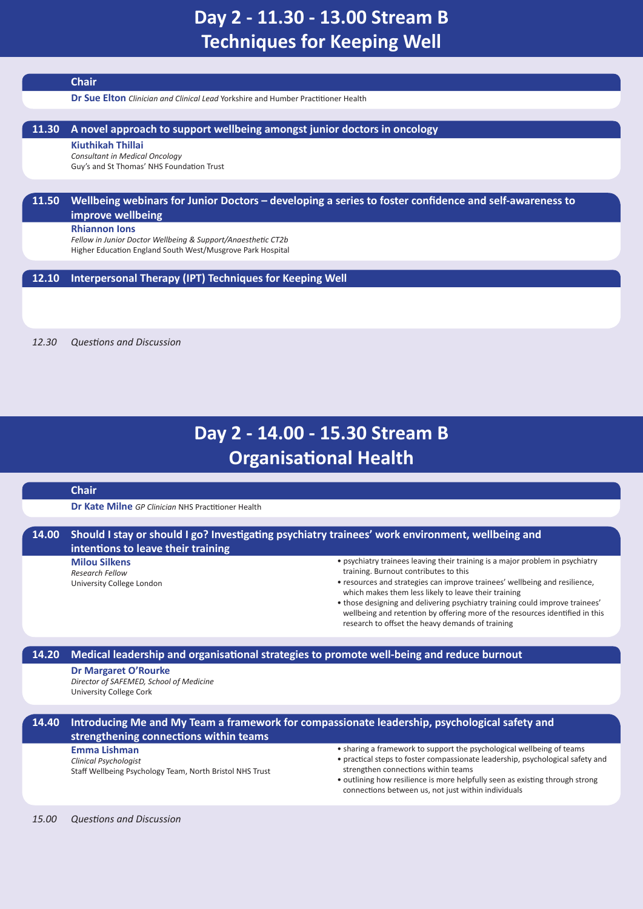# <span id="page-11-0"></span>**Day 2 - 11.30 - 13.00 Stream B Techniques for Keeping Well**

### **Chair**

**Dr Sue Elton** *Clinician and Clinical Lead* Yorkshire and Humber Practitioner Health

### **11.30 A novel approach to support wellbeing amongst junior doctors in oncology**

**Kiuthikah Thillai**

*Consultant in Medical Oncology* Guy's and St Thomas' NHS Foundation Trust

### **11.50 Wellbeing webinars for Junior Doctors – developing a series to foster confidence and self-awareness to**

**improve wellbeing**

### **Rhiannon Ions**

*Fellow in Junior Doctor Wellbeing & Support/Anaesthetic CT2b* Higher Education England South West/Musgrove Park Hospital

### **12.10 Interpersonal Therapy (IPT) Techniques for Keeping Well**

*12.30 Questions and Discussion*

# **Day 2 - 14.00 - 15.30 Stream B Organisational Health**

#### **Chair**

**Dr Kate Milne** *GP Clinician* NHS Practitioner Health

### **14.00 Should I stay or should I go? Investigating psychiatry trainees' work environment, wellbeing and intentions to leave their training**

**Milou Silkens** *Research Fellow* University College London

- <span id="page-11-1"></span>• psychiatry trainees leaving their training is a major problem in psychiatry training. Burnout contributes to this
- resources and strategies can improve trainees' wellbeing and resilience, which makes them less likely to leave their training
- those designing and delivering psychiatry training could improve trainees' wellbeing and retention by offering more of the resources identified in this research to offset the heavy demands of training

### **14.20 Medical leadership and organisational strategies to promote well-being and reduce burnout**

### **Dr Margaret O'Rourke**

*Director of SAFEMED, School of Medicine* University College Cork

### **14.40 Introducing Me and My Team a framework for compassionate leadership, psychological safety and strengthening connections within teams**

#### **Emma Lishman**

*Clinical Psychologist* Staff Wellbeing Psychology Team, North Bristol NHS Trust

- sharing a framework to support the psychological wellbeing of teams
- practical steps to foster compassionate leadership, psychological safety and strengthen connections within teams
- outlining how resilience is more helpfully seen as existing through strong connections between us, not just within individuals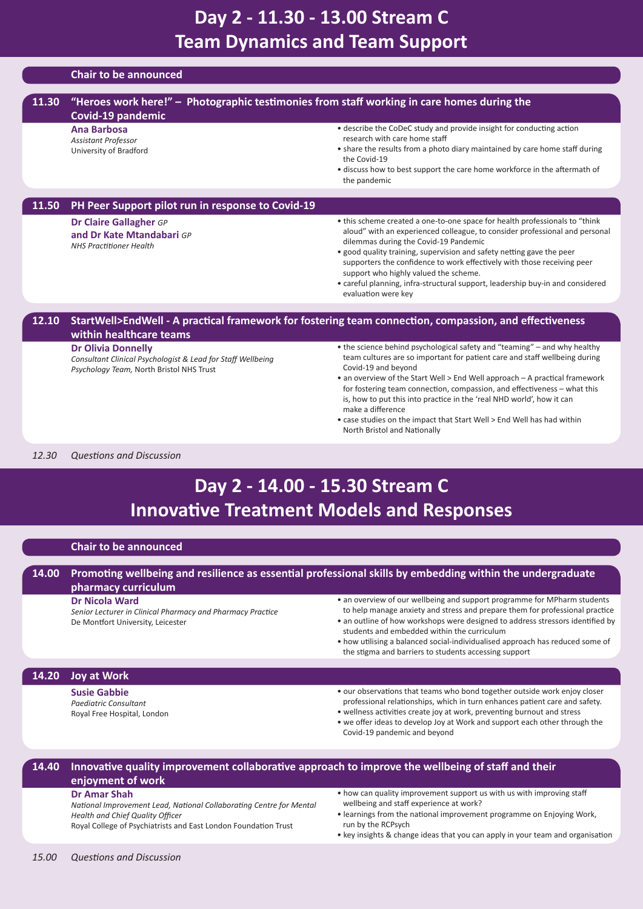# <span id="page-12-0"></span>**Day 2 - 11.30 - 13.00 Stream C Team Dynamics and Team Support**

|       | <b>Chair to be announced</b>                                                                                                         |                                                                                                                                                                                                                                                                                                                                                                                                                                                                                                                                                   |
|-------|--------------------------------------------------------------------------------------------------------------------------------------|---------------------------------------------------------------------------------------------------------------------------------------------------------------------------------------------------------------------------------------------------------------------------------------------------------------------------------------------------------------------------------------------------------------------------------------------------------------------------------------------------------------------------------------------------|
|       |                                                                                                                                      |                                                                                                                                                                                                                                                                                                                                                                                                                                                                                                                                                   |
| 11.30 | "Heroes work here!" - Photographic testimonies from staff working in care homes during the<br>Covid-19 pandemic                      |                                                                                                                                                                                                                                                                                                                                                                                                                                                                                                                                                   |
|       | <b>Ana Barbosa</b><br><b>Assistant Professor</b><br>University of Bradford                                                           | • describe the CoDeC study and provide insight for conducting action<br>research with care home staff<br>• share the results from a photo diary maintained by care home staff during<br>the Covid-19<br>• discuss how to best support the care home workforce in the aftermath of<br>the pandemic                                                                                                                                                                                                                                                 |
| 11.50 | PH Peer Support pilot run in response to Covid-19                                                                                    |                                                                                                                                                                                                                                                                                                                                                                                                                                                                                                                                                   |
|       | <b>Dr Claire Gallagher GP</b><br>and Dr Kate Mtandabari GP<br><b>NHS Practitioner Health</b>                                         | • this scheme created a one-to-one space for health professionals to "think"<br>aloud" with an experienced colleague, to consider professional and personal<br>dilemmas during the Covid-19 Pandemic<br>• good quality training, supervision and safety netting gave the peer<br>supporters the confidence to work effectively with those receiving peer<br>support who highly valued the scheme.<br>• careful planning, infra-structural support, leadership buy-in and considered<br>evaluation were key                                        |
| 12.10 |                                                                                                                                      | StartWell>EndWell - A practical framework for fostering team connection, compassion, and effectiveness                                                                                                                                                                                                                                                                                                                                                                                                                                            |
|       | within healthcare teams                                                                                                              |                                                                                                                                                                                                                                                                                                                                                                                                                                                                                                                                                   |
|       | <b>Dr Olivia Donnelly</b><br>Consultant Clinical Psychologist & Lead for Staff Wellbeing<br>Psychology Team, North Bristol NHS Trust | • the science behind psychological safety and "teaming" – and why healthy<br>team cultures are so important for patient care and staff wellbeing during<br>Covid-19 and beyond<br>• an overview of the Start Well > End Well approach – A practical framework<br>for fostering team connection, compassion, and effectiveness – what this<br>is, how to put this into practice in the 'real NHD world', how it can<br>make a difference<br>• case studies on the impact that Start Well > End Well has had within<br>North Bristol and Nationally |
| 12.30 | <b>Questions and Discussion</b>                                                                                                      |                                                                                                                                                                                                                                                                                                                                                                                                                                                                                                                                                   |
|       |                                                                                                                                      | Day 2 - 14.00 - 15.30 Stream C<br><b>Innovative Treatment Models and Responses</b>                                                                                                                                                                                                                                                                                                                                                                                                                                                                |

### **Chair to be announced**

### **14.00 Promoting wellbeing and resilience as essential professional skills by embedding within the undergraduate pharmacy curriculum**

**Dr Nicola Ward**

*Senior Lecturer in Clinical Pharmacy and Pharmacy Practice* De Montfort University, Leicester

<span id="page-12-1"></span>• an overview of our wellbeing and support programme for MPharm students to help manage anxiety and stress and prepare them for professional practice

• an outline of how workshops were designed to address stressors identified by students and embedded within the curriculum

• how utilising a balanced social-individualised approach has reduced some of the stigma and barriers to students accessing support

### **14.20 Joy at Work**

**Susie Gabbie**

*Paediatric Consultant* Royal Free Hospital, London

- our observations that teams who bond together outside work enjoy closer professional relationships, which in turn enhances patient care and safety.
- wellness activities create joy at work, preventing burnout and stress
- we offer ideas to develop Joy at Work and support each other through the Covid-19 pandemic and beyond

### **14.40 Innovative quality improvement collaborative approach to improve the wellbeing of staff and their enjoyment of work**

### **Dr Amar Shah**

*National Improvement Lead, National Collaborating Centre for Mental Health and Chief Quality Officer*

Royal College of Psychiatrists and East London Foundation Trust

- how can quality improvement support us with us with improving staff wellbeing and staff experience at work?
- learnings from the national improvement programme on Enjoying Work, run by the RCPsych
- key insights & change ideas that you can apply in your team and organisation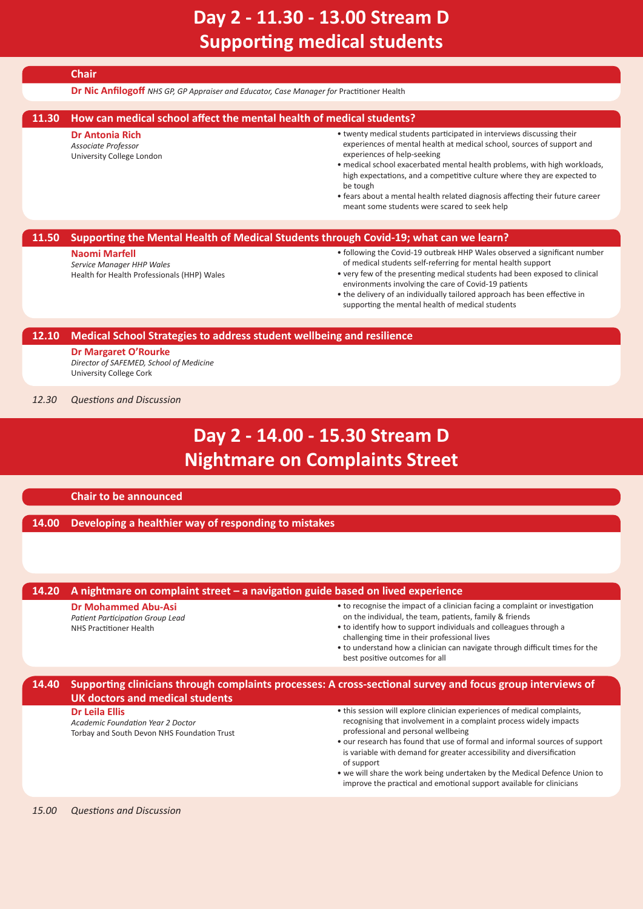# **Day 2 - 11.30 - 13.00 Stream D Supporting medical students**

### **Chair**

**Dr Nic Anfilogoff** *NHS GP, GP Appraiser and Educator, Case Manager for* Practitioner Health

### **11.30 How can medical school affect the mental health of medical students?**

#### **Dr Antonia Rich**

*Associate Professor* University College London

- <span id="page-13-0"></span>• twenty medical students participated in interviews discussing their experiences of mental health at medical school, sources of support and experiences of help-seeking
- medical school exacerbated mental health problems, with high workloads, high expectations, and a competitive culture where they are expected to be tough
- fears about a mental health related diagnosis affecting their future career meant some students were scared to seek help

### **11.50 Supporting the Mental Health of Medical Students through Covid-19; what can we learn?**

#### **Naomi Marfell**

*Service Manager HHP Wales* Health for Health Professionals (HHP) Wales

- following the Covid-19 outbreak HHP Wales observed a significant number of medical students self-referring for mental health support
- very few of the presenting medical students had been exposed to clinical environments involving the care of Covid-19 patients
- <span id="page-13-1"></span>• the delivery of an individually tailored approach has been effective in supporting the mental health of medical students

### **12.10 Medical School Strategies to address student wellbeing and resilience**

**Dr Margaret O'Rourke** *Director of SAFEMED, School of Medicine* University College Cork

*12.30 Questions and Discussion*

# **Day 2 - 14.00 - 15.30 Stream D Nightmare on Complaints Street**

### **Chair to be announced**

### **14.00 Developing a healthier way of responding to mistakes**

### **14.20 A nightmare on complaint street – a navigation guide based on lived experience**

#### **Dr Mohammed Abu-Asi**

*Patient Participation Group Lead* NHS Practitioner Health

- to recognise the impact of a clinician facing a complaint or investigation on the individual, the team, patients, family & friends
- to identify how to support individuals and colleagues through a challenging time in their professional lives
- to understand how a clinician can navigate through difficult times for the best positive outcomes for all

### **14.40 Supporting clinicians through complaints processes: A cross-sectional survey and focus group interviews of UK doctors and medical students**

**Dr Leila Ellis**

*Academic Foundation Year 2 Doctor* Torbay and South Devon NHS Foundation Trust

- this session will explore clinician experiences of medical complaints, recognising that involvement in a complaint process widely impacts professional and personal wellbeing
- our research has found that use of formal and informal sources of support is variable with demand for greater accessibility and diversification of support
- we will share the work being undertaken by the Medical Defence Union to improve the practical and emotional support available for clinicians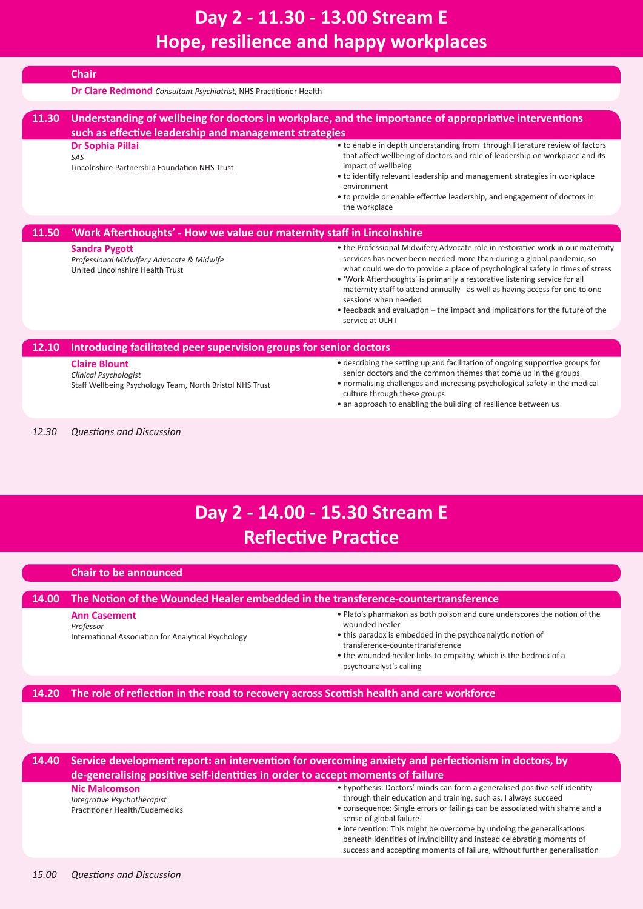# <span id="page-14-0"></span>**Day 2 - 11.30 - 13.00 Stream E Hope, resilience and happy workplaces**

|       | <b>Chair</b>                                                                                                                                                     |                                                                                                                                                                                                                                                                                                                                                                                                                                                                                                                                       |  |
|-------|------------------------------------------------------------------------------------------------------------------------------------------------------------------|---------------------------------------------------------------------------------------------------------------------------------------------------------------------------------------------------------------------------------------------------------------------------------------------------------------------------------------------------------------------------------------------------------------------------------------------------------------------------------------------------------------------------------------|--|
|       | <b>Dr Clare Redmond</b> Consultant Psychiatrist, NHS Practitioner Health                                                                                         |                                                                                                                                                                                                                                                                                                                                                                                                                                                                                                                                       |  |
| 11.30 | Understanding of wellbeing for doctors in workplace, and the importance of appropriative interventions<br>such as effective leadership and management strategies |                                                                                                                                                                                                                                                                                                                                                                                                                                                                                                                                       |  |
|       | Dr Sophia Pillai<br>SAS<br>Lincolnshire Partnership Foundation NHS Trust                                                                                         | • to enable in depth understanding from through literature review of factors<br>that affect wellbeing of doctors and role of leadership on workplace and its<br>impact of wellbeing<br>• to identify relevant leadership and management strategies in workplace<br>environment<br>• to provide or enable effective leadership, and engagement of doctors in<br>the workplace                                                                                                                                                          |  |
| 11.50 | 'Work Afterthoughts' - How we value our maternity staff in Lincolnshire                                                                                          |                                                                                                                                                                                                                                                                                                                                                                                                                                                                                                                                       |  |
|       | <b>Sandra Pygott</b><br>Professional Midwifery Advocate & Midwife<br>United Lincolnshire Health Trust                                                            | . the Professional Midwifery Advocate role in restorative work in our maternity<br>services has never been needed more than during a global pandemic, so<br>what could we do to provide a place of psychological safety in times of stress<br>• 'Work Afterthoughts' is primarily a restorative listening service for all<br>maternity staff to attend annually - as well as having access for one to one<br>sessions when needed<br>• feedback and evaluation – the impact and implications for the future of the<br>service at ULHT |  |
| 12.10 | Introducing facilitated peer supervision groups for senior doctors                                                                                               |                                                                                                                                                                                                                                                                                                                                                                                                                                                                                                                                       |  |
|       | <b>Claire Blount</b><br><b>Clinical Psychologist</b><br>Staff Wellbeing Psychology Team, North Bristol NHS Trust                                                 | • describing the setting up and facilitation of ongoing supportive groups for<br>senior doctors and the common themes that come up in the groups<br>• normalising challenges and increasing psychological safety in the medical<br>culture through these groups                                                                                                                                                                                                                                                                       |  |

<span id="page-14-1"></span>• an approach to enabling the building of resilience between us

*12.30 Questions and Discussion*

# **Day 2 - 14.00 - 15.30 Stream E Reflective Practice**

### **Chair to be announced**

### **14.00 The Notion of the Wounded Healer embedded in the transference-countertransference**

### **Ann Casement**

*Professor* International Association for Analytical Psychology

- Plato's pharmakon as both poison and cure underscores the notion of the wounded healer
- this paradox is embedded in the psychoanalytic notion of transference-countertransference
- the wounded healer links to empathy, which is the bedrock of a psychoanalyst's calling

### **14.20 The role of reflection in the road to recovery across Scottish health and care workforce**

**14.40 Service development report: an intervention for overcoming anxiety and perfectionism in doctors, by de-generalising positive self-identities in order to accept moments of failure**

### **Nic Malcomson**

*Integrative Psychotherapist* Practitioner Health/Eudemedics

- hypothesis: Doctors' minds can form a generalised positive self-identity through their education and training, such as, I always succeed
- consequence: Single errors or failings can be associated with shame and a sense of global failure
- intervention: This might be overcome by undoing the generalisations beneath identities of invincibility and instead celebrating moments of success and accepting moments of failure, without further generalisation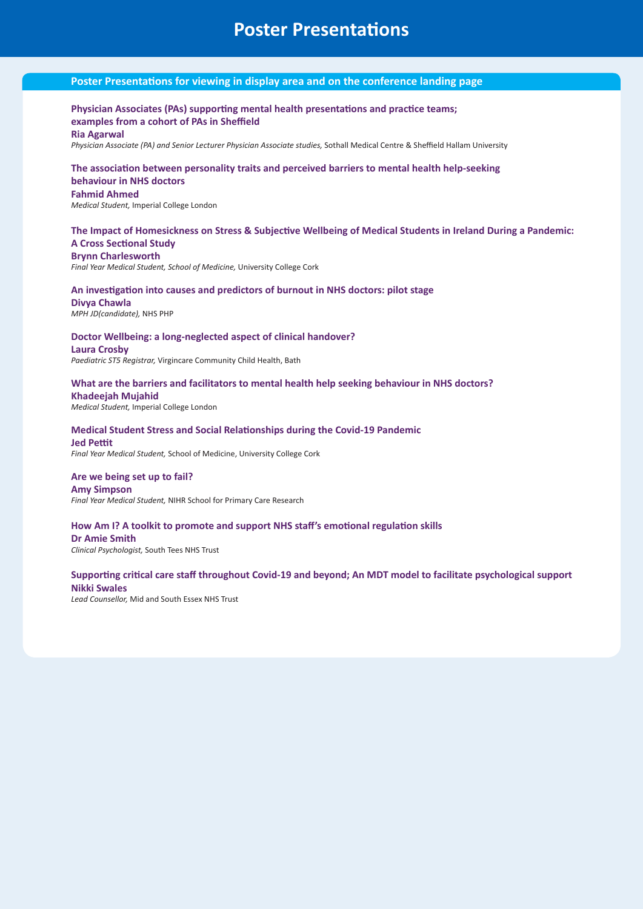## **Poster Presentations**

### **Poster Presentations for viewing in display area and on the conference landing page**

### **Physician Associates (PAs) supporting mental health presentations and practice teams; examples from a cohort of PAs in Sheffield**

#### **Ria Agarwal**

*Physician Associate (PA) and Senior Lecturer Physician Associate studies,* Sothall Medical Centre & Sheffield Hallam University

#### **The association between personality traits and perceived barriers to mental health help-seeking behaviour in NHS doctors**

### **Fahmid Ahmed**

*Medical Student,* Imperial College London

### **The Impact of Homesickness on Stress & Subjective Wellbeing of Medical Students in Ireland During a Pandemic: A Cross Sectional Study**

**Brynn Charlesworth** *Final Year Medical Student, School of Medicine,* University College Cork

### **An investigation into causes and predictors of burnout in NHS doctors: pilot stage**

**Divya Chawla** *MPH JD(candidate),* NHS PHP

### **Doctor Wellbeing: a long-neglected aspect of clinical handover?**

**Laura Crosby** *Paediatric ST5 Registrar,* Virgincare Community Child Health, Bath

### **What are the barriers and facilitators to mental health help seeking behaviour in NHS doctors?**

**Khadeejah Mujahid** *Medical Student,* Imperial College London

### **Medical Student Stress and Social Relationships during the Covid-19 Pandemic Jed Pettit**

*Final Year Medical Student,* School of Medicine, University College Cork

### **Are we being set up to fail?**

#### **Amy Simpson** *Final Year Medical Student,* NIHR School for Primary Care Research

### **How Am I? A toolkit to promote and support NHS staff's emotional regulation skills**

**Dr Amie Smith** *Clinical Psychologist,* South Tees NHS Trust

### **Supporting critical care staff throughout Covid-19 and beyond; An MDT model to facilitate psychological support Nikki Swales**

*Lead Counsellor,* Mid and South Essex NHS Trust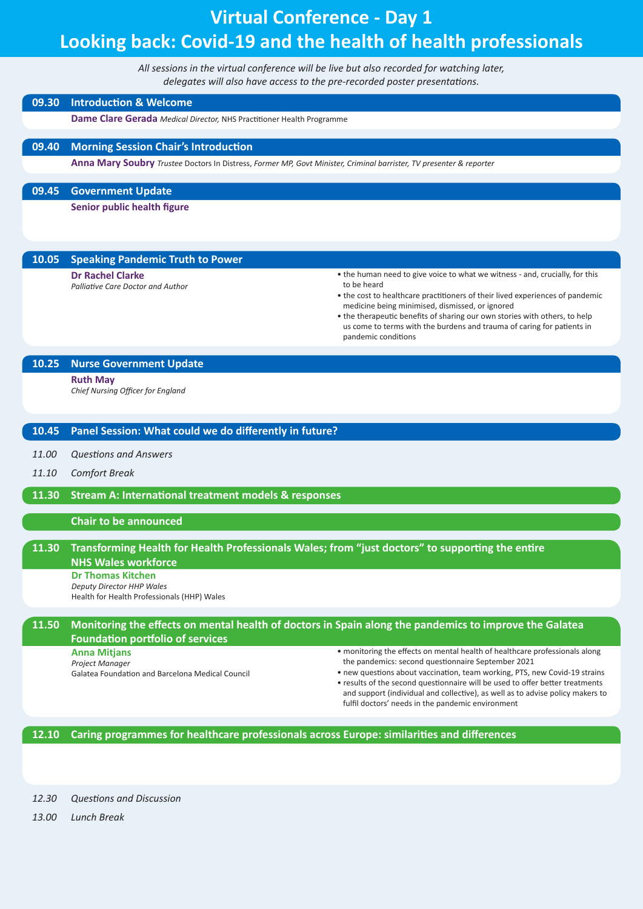# **Virtual Conference - Day 1 Looking back: Covid-19 and the health of health professionals**

*All sessions in the virtual conference will be live but also recorded for watching later, delegates will also have access to the pre-recorded poster presentations.*

### **09.30 Introduction & Welcome**

**Dame Clare Gerada** *Medical Director,* NHS Practitioner Health Programme

### **09.40 Morning Session Chair's Introduction**

**Anna Mary Soubry** *Trustee* Doctors In Distress, *Former MP, Govt Minister, Criminal barrister, TV presenter & reporter*

**09.45 Government Update**

**Senior public health figure**

### **10.05 Speaking Pandemic Truth to Power**

**Dr Rachel Clarke**

*Palliative Care Doctor and Author*

- the human need to give voice to what we witness and, crucially, for this to be heard
- the cost to healthcare practitioners of their lived experiences of pandemic medicine being minimised, dismissed, or ignored
- the therapeutic benefits of sharing our own stories with others, to help us come to terms with the burdens and trauma of caring for patients in pandemic conditions

### **10.25 Nurse Government Update**

**Ruth May**

*Chief Nursing Officer for England*

### **10.45 Panel Session: What could we do differently in future?**

- *11.00 Questions and Answers*
- *11.10 Comfort Break*

**11.30 Stream A: International treatment models & responses**

### **Chair to be announced**

### **11.30 Transforming Health for Health Professionals Wales; from "just doctors" to supporting the entire NHS Wales workforce**

**Dr Thomas Kitchen** *Deputy Director HHP Wales* Health for Health Professionals (HHP) Wales

### **11.50 Monitoring the effects on mental health of doctors in Spain along the pandemics to improve the Galatea Foundation portfolio of services**

- **Anna Mitjans**
- *Project Manager*

Galatea Foundation and Barcelona Medical Council

- monitoring the effects on mental health of healthcare professionals along the pandemics: second questionnaire September 2021
- new questions about vaccination, team working, PTS, new Covid-19 strains • results of the second questionnaire will be used to offer better treatments and support (individual and collective), as well as to advise policy makers to fulfil doctors' needs in the pandemic environment

**12.10 Caring programmes for healthcare professionals across Europe: similarities and differences**

*12.30 Questions and Discussion*

*13.00 Lunch Break*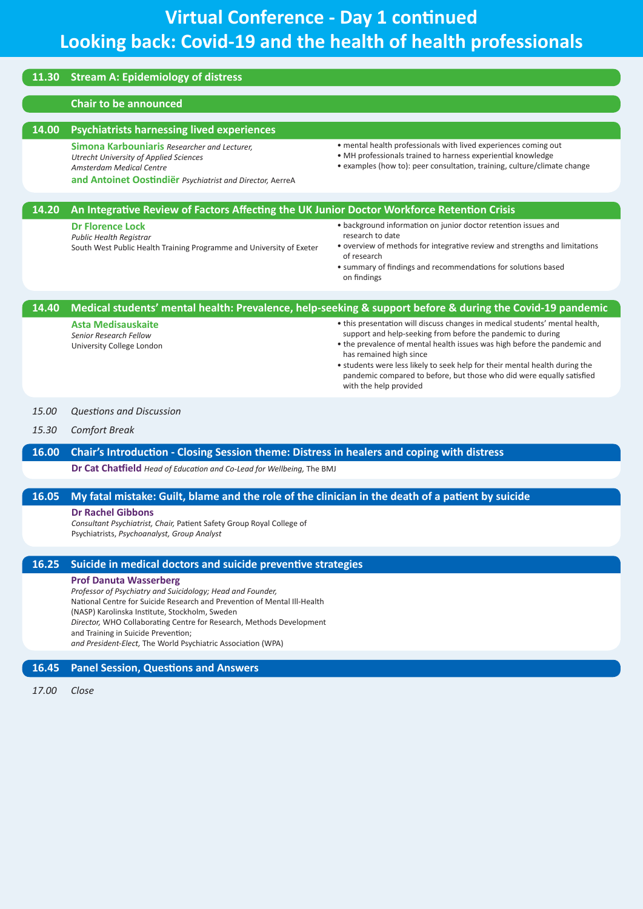### **11.30 Stream A: Epidemiology of distress**

#### **Chair to be announced**

#### **14.00 Psychiatrists harnessing lived experiences**

**Simona Karbouniaris** *Researcher and Lecturer, Utrecht University of Applied Sciences Amsterdam Medical Centre* 

**and Antoinet Oostindiër** *Psychiatrist and Director,* AerreA

• mental health professionals with lived experiences coming out

- MH professionals trained to harness experiential knowledge
- examples (how to): peer consultation, training, culture/climate change

*15.30 Comfort Break* **16.00 Chair's Introduction - Closing Session theme: Distress in healers and coping with distress Dr Cat Chatfield** *Head of Education and Co-Lead for Wellbeing,* The BMJ **16.05 My fatal mistake: Guilt, blame and the role of the clinician in the death of a patient by suicide Dr Rachel Gibbons** *Consultant Psychiatrist, Chair,* Patient Safety Group Royal College of Psychiatrists, *Psychoanalyst, Group Analyst* **16.45 Panel Session, Questions and Answers 14.20 An Integrative Review of Factors Affecting the UK Junior Doctor Workforce Retention Crisis Dr Florence Lock** *Public Health Registrar* South West Public Health Training Programme and University of Exeter • background information on junior doctor retention issues and research to date • overview of methods for integrative review and strengths and limitations of research • summary of findings and recommendations for solutions based on findings *15.00 Questions and Discussion* **14.40 Medical students' mental health: Prevalence, help-seeking & support before & during the Covid-19 pandemic Asta Medisauskaite** *Senior Research Fellow* University College London • this presentation will discuss changes in medical students' mental health, support and help-seeking from before the pandemic to during • the prevalence of mental health issues was high before the pandemic and has remained high since • students were less likely to seek help for their mental health during the pandemic compared to before, but those who did were equally satisfied with the help provided **16.25 Suicide in medical doctors and suicide preventive strategies Prof Danuta Wasserberg** *Professor of Psychiatry and Suicidology; Head and Founder,*  National Centre for Suicide Research and Prevention of Mental Ill-Health (NASP) Karolinska Institute, Stockholm, Sweden *Director,* WHO Collaborating Centre for Research, Methods Development and Training in Suicide Prevention; *and President-Elect,* The World Psychiatric Association (WPA)

*17.00 Close*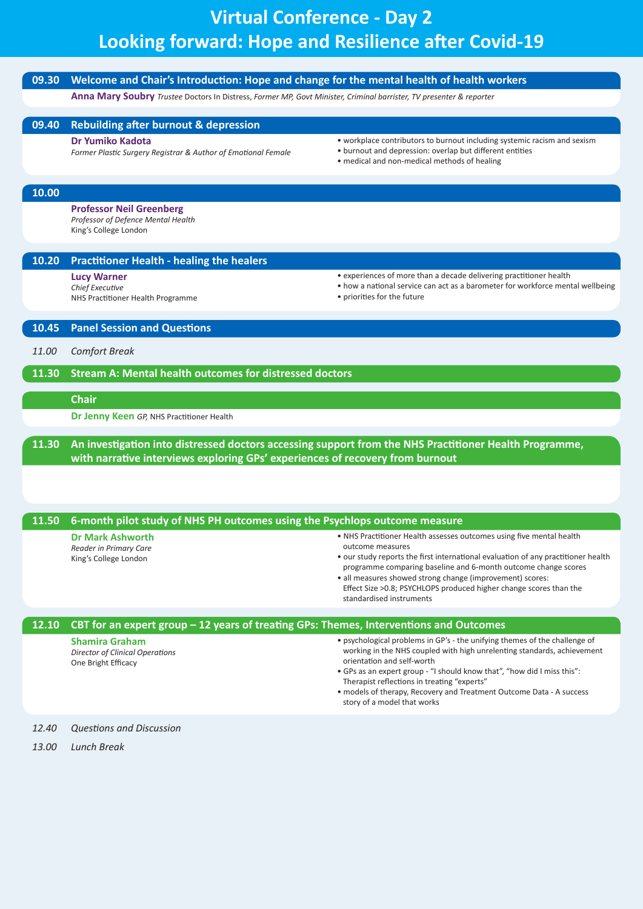# **Virtual Conference - Day 2 Looking forward: Hope and Resilience after Covid-19**

| 09.30 | Welcome and Chair's Introduction: Hope and change for the mental health of health workers                           |                                                                                                                                                                                                                                                                                                                                                                                                                      |  |  |
|-------|---------------------------------------------------------------------------------------------------------------------|----------------------------------------------------------------------------------------------------------------------------------------------------------------------------------------------------------------------------------------------------------------------------------------------------------------------------------------------------------------------------------------------------------------------|--|--|
|       | Anna Mary Soubry Trustee Doctors In Distress, Former MP, Govt Minister, Criminal barrister, TV presenter & reporter |                                                                                                                                                                                                                                                                                                                                                                                                                      |  |  |
| 09.40 | <b>Rebuilding after burnout &amp; depression</b>                                                                    |                                                                                                                                                                                                                                                                                                                                                                                                                      |  |  |
|       | <b>Dr Yumiko Kadota</b><br>Former Plastic Surgery Registrar & Author of Emotional Female                            | • workplace contributors to burnout including systemic racism and sexism<br>• burnout and depression: overlap but different entities<br>• medical and non-medical methods of healing                                                                                                                                                                                                                                 |  |  |
| 10.00 |                                                                                                                     |                                                                                                                                                                                                                                                                                                                                                                                                                      |  |  |
|       | <b>Professor Neil Greenberg</b><br>Professor of Defence Mental Health<br>King's College London                      |                                                                                                                                                                                                                                                                                                                                                                                                                      |  |  |
| 10.20 | <b>Practitioner Health - healing the healers</b>                                                                    |                                                                                                                                                                                                                                                                                                                                                                                                                      |  |  |
|       | <b>Lucy Warner</b><br>Chief Executive<br>NHS Practitioner Health Programme                                          | • experiences of more than a decade delivering practitioner health<br>• how a national service can act as a barometer for workforce mental wellbeing<br>• priorities for the future                                                                                                                                                                                                                                  |  |  |
| 10.45 | <b>Panel Session and Questions</b>                                                                                  |                                                                                                                                                                                                                                                                                                                                                                                                                      |  |  |
| 11.00 | <b>Comfort Break</b>                                                                                                |                                                                                                                                                                                                                                                                                                                                                                                                                      |  |  |
| 11.30 | <b>Stream A: Mental health outcomes for distressed doctors</b>                                                      |                                                                                                                                                                                                                                                                                                                                                                                                                      |  |  |
|       | <b>Chair</b>                                                                                                        |                                                                                                                                                                                                                                                                                                                                                                                                                      |  |  |
|       | <b>Dr Jenny Keen</b> GP, NHS Practitioner Health                                                                    |                                                                                                                                                                                                                                                                                                                                                                                                                      |  |  |
| 11.30 | with narrative interviews exploring GPs' experiences of recovery from burnout                                       | An investigation into distressed doctors accessing support from the NHS Practitioner Health Programme,                                                                                                                                                                                                                                                                                                               |  |  |
| 11.50 | 6-month pilot study of NHS PH outcomes using the Psychlops outcome measure                                          |                                                                                                                                                                                                                                                                                                                                                                                                                      |  |  |
|       | <b>Dr Mark Ashworth</b><br>Reader in Primary Care<br>King's College London                                          | • NHS Practitioner Health assesses outcomes using five mental health<br>outcome measures<br>• our study reports the first international evaluation of any practitioner health<br>programme comparing baseline and 6-month outcome change scores<br>• all measures showed strong change (improvement) scores:<br>Effect Size > 0.8; PSYCHLOPS produced higher change scores than the<br>standardised instruments      |  |  |
| 12.10 | CBT for an expert group $-12$ years of treating GPs: Themes, Interventions and Outcomes                             |                                                                                                                                                                                                                                                                                                                                                                                                                      |  |  |
|       | <b>Shamira Graham</b><br><b>Director of Clinical Operations</b><br>One Bright Efficacy                              | • psychological problems in GP's - the unifying themes of the challenge of<br>working in the NHS coupled with high unrelenting standards, achievement<br>orientation and self-worth<br>• GPs as an expert group - "I should know that", "how did I miss this":<br>Therapist reflections in treating "experts"<br>• models of therapy, Recovery and Treatment Outcome Data - A success<br>story of a model that works |  |  |
| 12.40 | <b>Questions and Discussion</b>                                                                                     |                                                                                                                                                                                                                                                                                                                                                                                                                      |  |  |
| 13.00 | Lunch Break                                                                                                         |                                                                                                                                                                                                                                                                                                                                                                                                                      |  |  |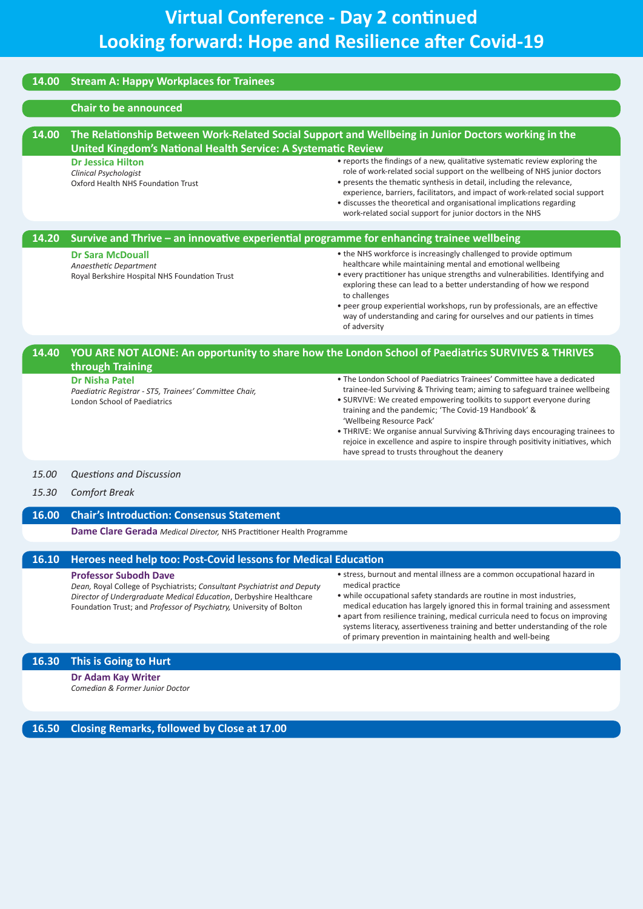# **Virtual Conference - Day 2 continued Looking forward: Hope and Resilience after Covid-19**

| 14.00 | <b>Stream A: Happy Workplaces for Trainees</b>                                                                                                                       |                                                                                                                                                                                                                                                                                                                                                                                                                                                                                                                                             |  |  |
|-------|----------------------------------------------------------------------------------------------------------------------------------------------------------------------|---------------------------------------------------------------------------------------------------------------------------------------------------------------------------------------------------------------------------------------------------------------------------------------------------------------------------------------------------------------------------------------------------------------------------------------------------------------------------------------------------------------------------------------------|--|--|
|       | <b>Chair to be announced</b>                                                                                                                                         |                                                                                                                                                                                                                                                                                                                                                                                                                                                                                                                                             |  |  |
| 14.00 | The Relationship Between Work-Related Social Support and Wellbeing in Junior Doctors working in the<br>United Kingdom's National Health Service: A Systematic Review |                                                                                                                                                                                                                                                                                                                                                                                                                                                                                                                                             |  |  |
|       | <b>Dr Jessica Hilton</b><br>Clinical Psychologist<br>Oxford Health NHS Foundation Trust                                                                              | • reports the findings of a new, qualitative systematic review exploring the<br>role of work-related social support on the wellbeing of NHS junior doctors<br>• presents the thematic synthesis in detail, including the relevance,<br>experience, barriers, facilitators, and impact of work-related social support<br>• discusses the theoretical and organisational implications regarding<br>work-related social support for junior doctors in the NHS                                                                                  |  |  |
| 14.20 | Survive and Thrive - an innovative experiential programme for enhancing trainee wellbeing                                                                            |                                                                                                                                                                                                                                                                                                                                                                                                                                                                                                                                             |  |  |
|       | <b>Dr Sara McDouall</b><br>Anaesthetic Department<br>Royal Berkshire Hospital NHS Foundation Trust                                                                   | • the NHS workforce is increasingly challenged to provide optimum<br>healthcare while maintaining mental and emotional wellbeing<br>• every practitioner has unique strengths and vulnerabilities. Identifying and<br>exploring these can lead to a better understanding of how we respond<br>to challenges<br>• peer group experiential workshops, run by professionals, are an effective<br>way of understanding and caring for ourselves and our patients in times<br>of adversity                                                       |  |  |
| 14.40 | through Training                                                                                                                                                     | YOU ARE NOT ALONE: An opportunity to share how the London School of Paediatrics SURVIVES & THRIVES                                                                                                                                                                                                                                                                                                                                                                                                                                          |  |  |
|       | <b>Dr Nisha Patel</b><br>Paediatric Registrar - ST5, Trainees' Committee Chair,<br><b>London School of Paediatrics</b>                                               | • The London School of Paediatrics Trainees' Committee have a dedicated<br>trainee-led Surviving & Thriving team; aiming to safeguard trainee wellbeing<br>• SURVIVE: We created empowering toolkits to support everyone during<br>training and the pandemic; 'The Covid-19 Handbook' &<br>'Wellbeing Resource Pack'<br>• THRIVE: We organise annual Surviving & Thriving days encouraging trainees to<br>rejoice in excellence and aspire to inspire through positivity initiatives, which<br>have spread to trusts throughout the deanery |  |  |

### *15.00 Questions and Discussion*

*15.30 Comfort Break*

### **16.00 Chair's Introduction: Consensus Statement**

**Dame Clare Gerada** *Medical Director,* NHS Practitioner Health Programme

### **16.10 Heroes need help too: Post-Covid lessons for Medical Education**

#### **Professor Subodh Dave**

*Dean,* Royal College of Psychiatrists; *Consultant Psychiatrist and Deputy Director of Undergraduate Medical Education*, Derbyshire Healthcare Foundation Trust; and *Professor of Psychiatry,* University of Bolton

- stress, burnout and mental illness are a common occupational hazard in medical practice
- while occupational safety standards are routine in most industries, medical education has largely ignored this in formal training and assessment
- apart from resilience training, medical curricula need to focus on improving systems literacy, assertiveness training and better understanding of the role of primary prevention in maintaining health and well-being

### **16.30 This is Going to Hurt**

**Dr Adam Kay Writer** *Comedian & Former Junior Doctor*

**16.50 Closing Remarks, followed by Close at 17.00**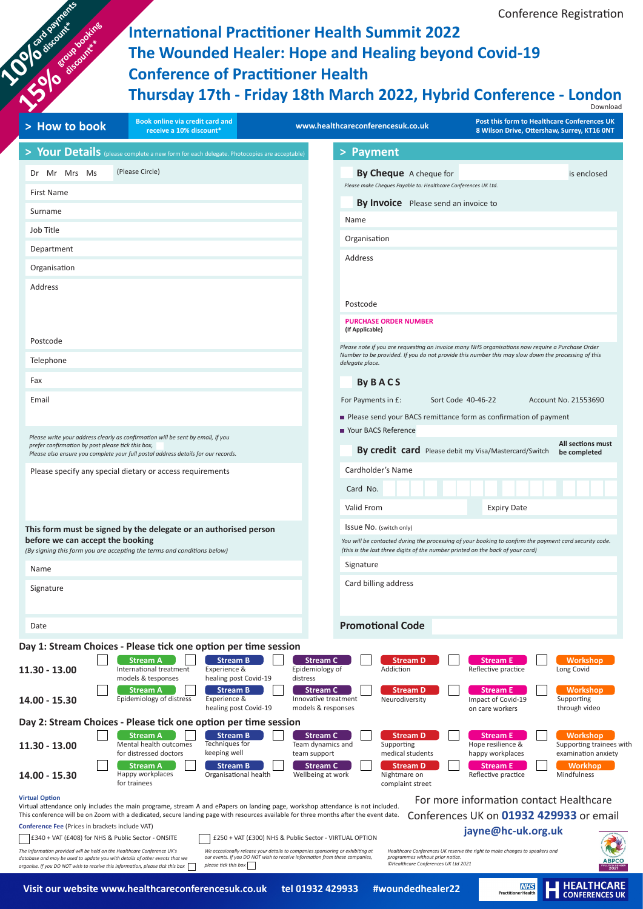**International Practitioner Health Summit 2022 The Wounded Healer: Hope and Healing beyond Covid-19 Conference of Practitioner Health Thursday 17th - Friday 18th March 2022, Hybrid Conference - London**

Conference Registration

| Book online via credit card and<br>> How to book<br>receive a 10% discount*                                                                                                                                               | Post this form to Healthcare Conferences UK<br>www.healthcareconferencesuk.co.uk<br>8 Wilson Drive, Ottershaw, Surrey, KT16 ONT                                                                                           |
|---------------------------------------------------------------------------------------------------------------------------------------------------------------------------------------------------------------------------|---------------------------------------------------------------------------------------------------------------------------------------------------------------------------------------------------------------------------|
| > Your Details (please complete a new form for each delegate. Photocopies are acceptable)                                                                                                                                 | > Payment                                                                                                                                                                                                                 |
| (Please Circle)<br>Dr Mr Mrs Ms                                                                                                                                                                                           | By Cheque A cheque for<br>is enclosed                                                                                                                                                                                     |
| First Name                                                                                                                                                                                                                | Please make Cheques Payable to: Healthcare Conferences UK Ltd.                                                                                                                                                            |
| Surname                                                                                                                                                                                                                   | <b>By Invoice</b> Please send an invoice to                                                                                                                                                                               |
| Job Title                                                                                                                                                                                                                 | Name                                                                                                                                                                                                                      |
| Department                                                                                                                                                                                                                | Organisation                                                                                                                                                                                                              |
| Organisation                                                                                                                                                                                                              | Address                                                                                                                                                                                                                   |
| Address                                                                                                                                                                                                                   |                                                                                                                                                                                                                           |
|                                                                                                                                                                                                                           | Postcode                                                                                                                                                                                                                  |
|                                                                                                                                                                                                                           | <b>PURCHASE ORDER NUMBER</b>                                                                                                                                                                                              |
| Postcode                                                                                                                                                                                                                  | (If Applicable)                                                                                                                                                                                                           |
| Telephone                                                                                                                                                                                                                 | Please note if you are requesting an invoice many NHS organisations now require a Purchase Order<br>Number to be provided. If you do not provide this number this may slow down the processing of this<br>delegate place. |
| Fax                                                                                                                                                                                                                       |                                                                                                                                                                                                                           |
| Email                                                                                                                                                                                                                     | <b>By BACS</b><br>For Payments in £:<br>Sort Code 40-46-22<br>Account No. 21553690                                                                                                                                        |
|                                                                                                                                                                                                                           | Please send your BACS remittance form as confirmation of payment                                                                                                                                                          |
|                                                                                                                                                                                                                           | ■ Your BACS Reference                                                                                                                                                                                                     |
| Please write your address clearly as confirmation will be sent by email, if you<br>prefer confirmation by post please tick this box,<br>Please also ensure you complete your full postal address details for our records. | All sections must<br>By credit card Please debit my Visa/Mastercard/Switch<br>be completed                                                                                                                                |
| Please specify any special dietary or access requirements                                                                                                                                                                 | Cardholder's Name                                                                                                                                                                                                         |
|                                                                                                                                                                                                                           | Card No.                                                                                                                                                                                                                  |
|                                                                                                                                                                                                                           | Valid From<br><b>Expiry Date</b>                                                                                                                                                                                          |
|                                                                                                                                                                                                                           | ISSUE NO. (switch only)                                                                                                                                                                                                   |
| This form must be signed by the delegate or an authorised person<br>before we can accept the booking                                                                                                                      | You will be contacted during the processing of your booking to confirm the payment card security code.                                                                                                                    |
| (By signing this form you are accepting the terms and conditions below)                                                                                                                                                   | (this is the last three digits of the number printed on the back of your card)<br>Signature                                                                                                                               |
| Name                                                                                                                                                                                                                      | Card billing address                                                                                                                                                                                                      |
| Signature                                                                                                                                                                                                                 |                                                                                                                                                                                                                           |
|                                                                                                                                                                                                                           |                                                                                                                                                                                                                           |
| Date                                                                                                                                                                                                                      | <b>Promotional Code</b>                                                                                                                                                                                                   |
| Day 1: Stream Choices - Please tick one option per time session                                                                                                                                                           |                                                                                                                                                                                                                           |
| <b>Stream A</b><br><b>Stream B</b><br>11.30 - 13.00<br>International treatment<br>Experience &                                                                                                                            | <b>Stream C</b><br><b>Workshop</b><br><b>Stream D</b><br><b>Stream E</b><br>Epidemiology of<br>Addiction<br>Long Covid<br>Reflective practice                                                                             |
| models & tesponses<br>healing post Covid-19<br><b>Stream A</b><br><b>Stream B</b>                                                                                                                                         | distress<br><b>Stream C</b><br><b>Stream D</b><br><b>Stream E</b><br><b>Workshop</b>                                                                                                                                      |
| Epidemiology of distress<br>Experience &<br>14.00 - 15.30<br>healing post Covid-19                                                                                                                                        | Impact of Covid-19<br>Innovative treatment<br>Neurodiversity<br>Supporting<br>through video<br>models & responses<br>on care workers                                                                                      |
| Day 2: Stream Choices - Please tick one option per time session                                                                                                                                                           |                                                                                                                                                                                                                           |
| <b>Stream B</b><br><b>Stream A</b><br>Mental health outcomes<br>Techniques for<br>11.30 - 13.00                                                                                                                           | <b>Stream C</b><br><b>Stream D</b><br><b>Stream E</b><br>Workshop<br>Team dynamics and<br>Hope resilience &<br>Supporting trainees with<br>Supporting                                                                     |
| for distressed doctors<br>keeping well<br><b>Stream A</b><br><b>Stream B</b>                                                                                                                                              | examination anxiety<br>team support<br>medical students<br>happy workplaces<br>Stream C<br><b>Stream D</b><br><b>Stream E</b><br><b>Workhop</b>                                                                           |
| Happy workplaces<br>Organisational health<br>14.00 - 15.30<br>for trainees                                                                                                                                                | Wellbeing at work<br>Nightmare on<br>Reflective practice<br>Mindfulness                                                                                                                                                   |
|                                                                                                                                                                                                                           | complaint street                                                                                                                                                                                                          |

**Card payments** 

**HEALTHCARE**<br>CONFERENCES UK

**NHS**<br>Practitioner Health